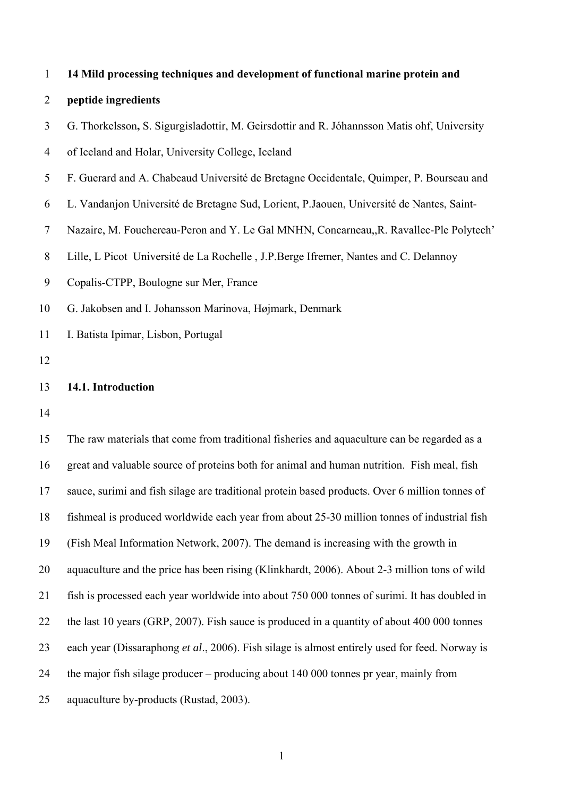|  |  | 14 Mild processing techniques and development of functional marine protein and |
|--|--|--------------------------------------------------------------------------------|
|  |  |                                                                                |

# 2 **peptide ingredients**

3 G. Thorkelsson**,** S. Sigurgisladottir, M. Geirsdottir and R. Jóhannsson Matis ohf, University

4 of Iceland and Holar, University College, Iceland

- 5 F. Guerard and A. Chabeaud Université de Bretagne Occidentale, Quimper, P. Bourseau and
- 6 L. Vandanjon Université de Bretagne Sud, Lorient, P.Jaouen, Université de Nantes, Saint-
- 7 Nazaire, M. Fouchereau-Peron and Y. Le Gal MNHN, Concarneau,,R. Ravallec-Ple Polytech'
- 8 Lille, L Picot Université de La Rochelle , J.P.Berge Ifremer, Nantes and C. Delannoy
- 9 Copalis-CTPP, Boulogne sur Mer, France
- 10 G. Jakobsen and I. Johansson Marinova, Højmark, Denmark
- 11 I. Batista Ipimar, Lisbon, Portugal
- 12

# 13 **14.1. Introduction**

14

15 The raw materials that come from traditional fisheries and aquaculture can be regarded as a 16 great and valuable source of proteins both for animal and human nutrition. Fish meal, fish 17 sauce, surimi and fish silage are traditional protein based products. Over 6 million tonnes of 18 fishmeal is produced worldwide each year from about 25-30 million tonnes of industrial fish 19 (Fish Meal Information Network, 2007). The demand is increasing with the growth in 20 aquaculture and the price has been rising (Klinkhardt, 2006). About 2-3 million tons of wild 21 fish is processed each year worldwide into about 750 000 tonnes of surimi. It has doubled in 22 the last 10 years (GRP, 2007). Fish sauce is produced in a quantity of about 400 000 tonnes 23 each year (Dissaraphong *et al*., 2006). Fish silage is almost entirely used for feed. Norway is 24 the major fish silage producer – producing about 140 000 tonnes pr year, mainly from 25 aquaculture by-products (Rustad, 2003).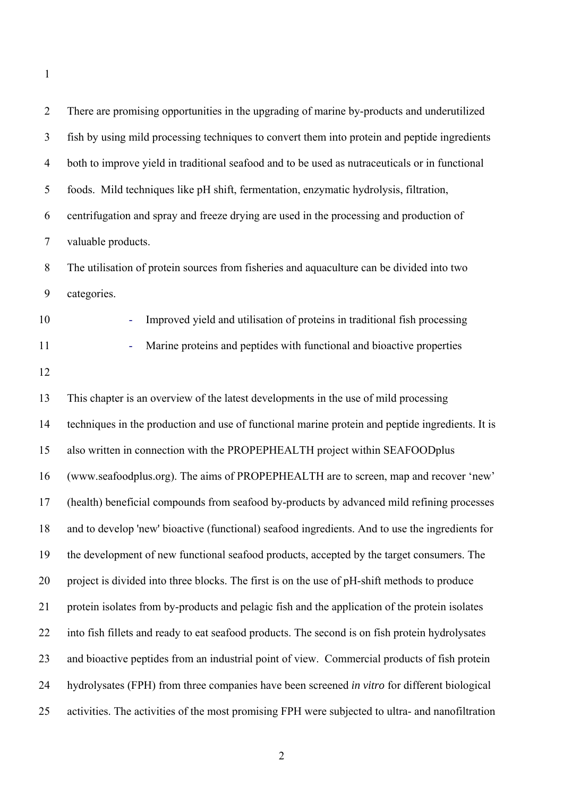| $\overline{2}$ | There are promising opportunities in the upgrading of marine by-products and underutilized       |
|----------------|--------------------------------------------------------------------------------------------------|
| 3              | fish by using mild processing techniques to convert them into protein and peptide ingredients    |
| $\overline{4}$ | both to improve yield in traditional seafood and to be used as nutraceuticals or in functional   |
| 5              | foods. Mild techniques like pH shift, fermentation, enzymatic hydrolysis, filtration,            |
| 6              | centrifugation and spray and freeze drying are used in the processing and production of          |
| $\overline{7}$ | valuable products.                                                                               |
| 8              | The utilisation of protein sources from fisheries and aquaculture can be divided into two        |
| 9              | categories.                                                                                      |
| 10             | Improved yield and utilisation of proteins in traditional fish processing                        |
| 11             | Marine proteins and peptides with functional and bioactive properties                            |
| 12             |                                                                                                  |
| 13             | This chapter is an overview of the latest developments in the use of mild processing             |
| 14             | techniques in the production and use of functional marine protein and peptide ingredients. It is |
| 15             | also written in connection with the PROPEPHEALTH project within SEAFOODplus                      |
| 16             | (www.seafoodplus.org). The aims of PROPEPHEALTH are to screen, map and recover 'new'             |
| 17             | (health) beneficial compounds from seafood by-products by advanced mild refining processes       |
| 18             | and to develop 'new' bioactive (functional) seafood ingredients. And to use the ingredients for  |
| 19             | the development of new functional seafood products, accepted by the target consumers. The        |
| 20             | project is divided into three blocks. The first is on the use of pH-shift methods to produce     |
| 21             | protein isolates from by-products and pelagic fish and the application of the protein isolates   |
| 22             | into fish fillets and ready to eat seafood products. The second is on fish protein hydrolysates  |
| 23             | and bioactive peptides from an industrial point of view. Commercial products of fish protein     |
| 24             | hydrolysates (FPH) from three companies have been screened in vitro for different biological     |
| 25             | activities. The activities of the most promising FPH were subjected to ultra- and nanofiltration |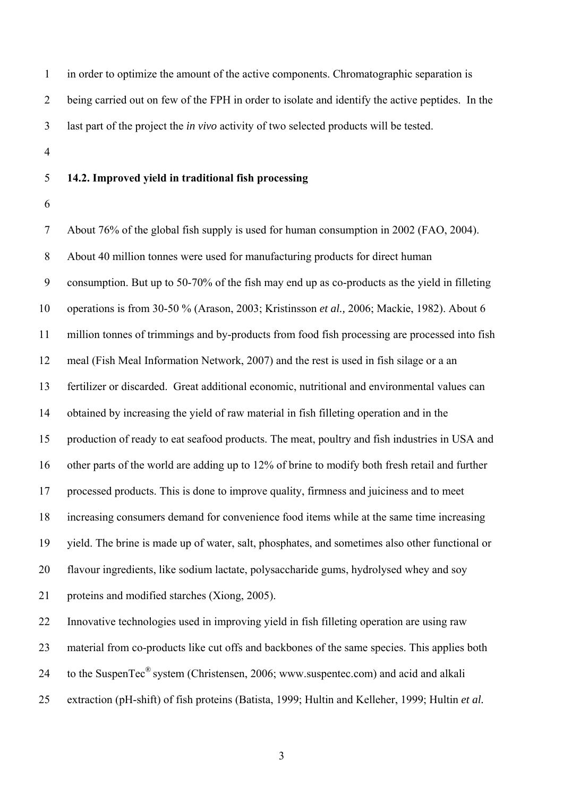1 in order to optimize the amount of the active components. Chromatographic separation is 2 being carried out on few of the FPH in order to isolate and identify the active peptides. In the 3 last part of the project the *in vivo* activity of two selected products will be tested.

4

# 5 **14.2. Improved yield in traditional fish processing**

6

7 About 76% of the global fish supply is used for human consumption in 2002 (FAO, 2004). 8 About 40 million tonnes were used for manufacturing products for direct human 9 consumption. But up to 50-70% of the fish may end up as co-products as the yield in filleting 10 operations is from 30-50 % (Arason, 2003; Kristinsson *et al.,* 2006; Mackie, 1982). About 6 11 million tonnes of trimmings and by-products from food fish processing are processed into fish 12 meal (Fish Meal Information Network, 2007) and the rest is used in fish silage or a an 13 fertilizer or discarded. Great additional economic, nutritional and environmental values can 14 obtained by increasing the yield of raw material in fish filleting operation and in the 15 production of ready to eat seafood products. The meat, poultry and fish industries in USA and 16 other parts of the world are adding up to 12% of brine to modify both fresh retail and further 17 processed products. This is done to improve quality, firmness and juiciness and to meet 18 increasing consumers demand for convenience food items while at the same time increasing 19 yield. The brine is made up of water, salt, phosphates, and sometimes also other functional or 20 flavour ingredients, like sodium lactate, polysaccharide gums, hydrolysed whey and soy 21 proteins and modified starches (Xiong, 2005). 22 Innovative technologies used in improving yield in fish filleting operation are using raw 23 material from co-products like cut offs and backbones of the same species. This applies both

24 to the SuspenTec<sup>®</sup> system (Christensen, 2006; www.suspentec.com) and acid and alkali

25 extraction (pH-shift) of fish proteins (Batista, 1999; Hultin and Kelleher, 1999; Hultin *et al.*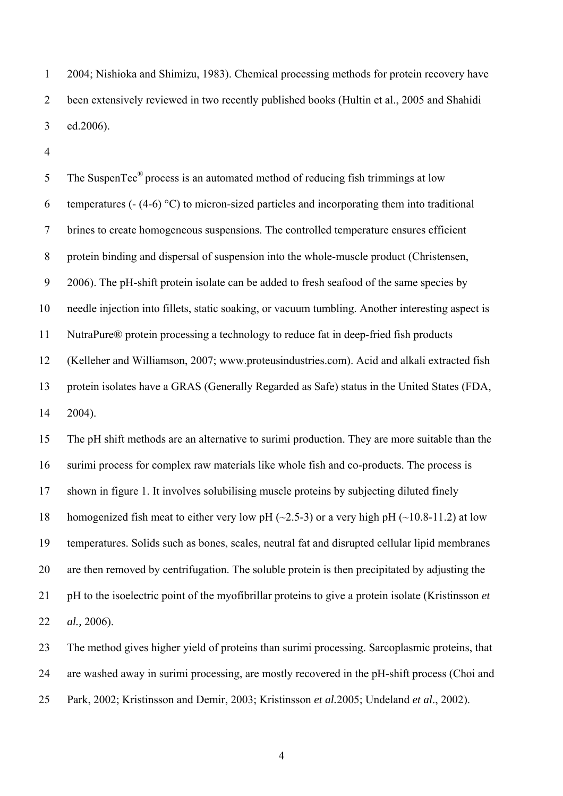1 2004; Nishioka and Shimizu, 1983). Chemical processing methods for protein recovery have 2 been extensively reviewed in two recently published books (Hultin et al., 2005 and Shahidi 3 ed.2006).

4

5 The SuspenTec<sup>®</sup> process is an automated method of reducing fish trimmings at low 6 temperatures (- (4-6) °C) to micron-sized particles and incorporating them into traditional 7 brines to create homogeneous suspensions. The controlled temperature ensures efficient 8 protein binding and dispersal of suspension into the whole-muscle product (Christensen, 9 2006). The pH-shift protein isolate can be added to fresh seafood of the same species by 10 needle injection into fillets, static soaking, or vacuum tumbling. Another interesting aspect is 11 NutraPure® protein processing a technology to reduce fat in deep-fried fish products 12 (Kelleher and Williamson, 2007; www.proteusindustries.com). Acid and alkali extracted fish 13 protein isolates have a GRAS (Generally Regarded as Safe) status in the United States (FDA, 14 2004).

15 The pH shift methods are an alternative to surimi production. They are more suitable than the 16 surimi process for complex raw materials like whole fish and co-products. The process is 17 shown in figure 1. It involves solubilising muscle proteins by subjecting diluted finely 18 homogenized fish meat to either very low pH  $(\sim 2.5-3)$  or a very high pH  $(\sim 10.8-11.2)$  at low 19 temperatures. Solids such as bones, scales, neutral fat and disrupted cellular lipid membranes 20 are then removed by centrifugation. The soluble protein is then precipitated by adjusting the 21 pH to the isoelectric point of the myofibrillar proteins to give a protein isolate (Kristinsson *et*  22 *al.,* 2006).

23 The method gives higher yield of proteins than surimi processing. Sarcoplasmic proteins, that 24 are washed away in surimi processing, are mostly recovered in the pH-shift process (Choi and 25 Park, 2002; Kristinsson and Demir, 2003; Kristinsson *et al.*2005; Undeland *et al*., 2002).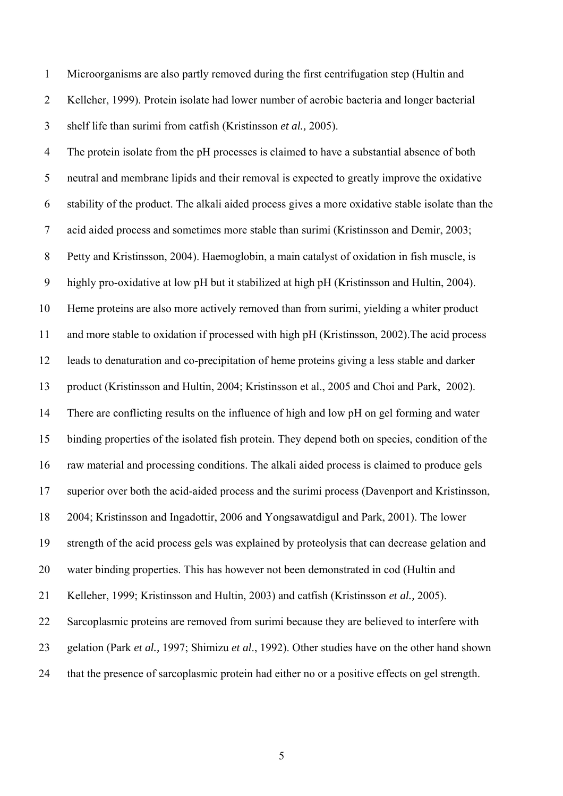1 Microorganisms are also partly removed during the first centrifugation step (Hultin and 2 Kelleher, 1999). Protein isolate had lower number of aerobic bacteria and longer bacterial 3 shelf life than surimi from catfish (Kristinsson *et al.,* 2005).

4 The protein isolate from the pH processes is claimed to have a substantial absence of both 5 neutral and membrane lipids and their removal is expected to greatly improve the oxidative 6 stability of the product. The alkali aided process gives a more oxidative stable isolate than the 7 acid aided process and sometimes more stable than surimi (Kristinsson and Demir, 2003; 8 Petty and Kristinsson, 2004). Haemoglobin, a main catalyst of oxidation in fish muscle, is 9 highly pro-oxidative at low pH but it stabilized at high pH (Kristinsson and Hultin, 2004). 10 Heme proteins are also more actively removed than from surimi, yielding a whiter product 11 and more stable to oxidation if processed with high pH (Kristinsson, 2002).The acid process 12 leads to denaturation and co-precipitation of heme proteins giving a less stable and darker 13 product (Kristinsson and Hultin, 2004; Kristinsson et al., 2005 and Choi and Park, 2002). 14 There are conflicting results on the influence of high and low pH on gel forming and water 15 binding properties of the isolated fish protein. They depend both on species, condition of the 16 raw material and processing conditions. The alkali aided process is claimed to produce gels 17 superior over both the acid-aided process and the surimi process (Davenport and Kristinsson, 18 2004; Kristinsson and Ingadottir, 2006 and Yongsawatdigul and Park, 2001). The lower 19 strength of the acid process gels was explained by proteolysis that can decrease gelation and 20 water binding properties. This has however not been demonstrated in cod (Hultin and 21 Kelleher, 1999; Kristinsson and Hultin, 2003) and catfish (Kristinsson *et al.,* 2005). 22 Sarcoplasmic proteins are removed from surimi because they are believed to interfere with 23 gelation (Park *et al.,* 1997; Shimizu *et al*., 1992). Other studies have on the other hand shown 24 that the presence of sarcoplasmic protein had either no or a positive effects on gel strength.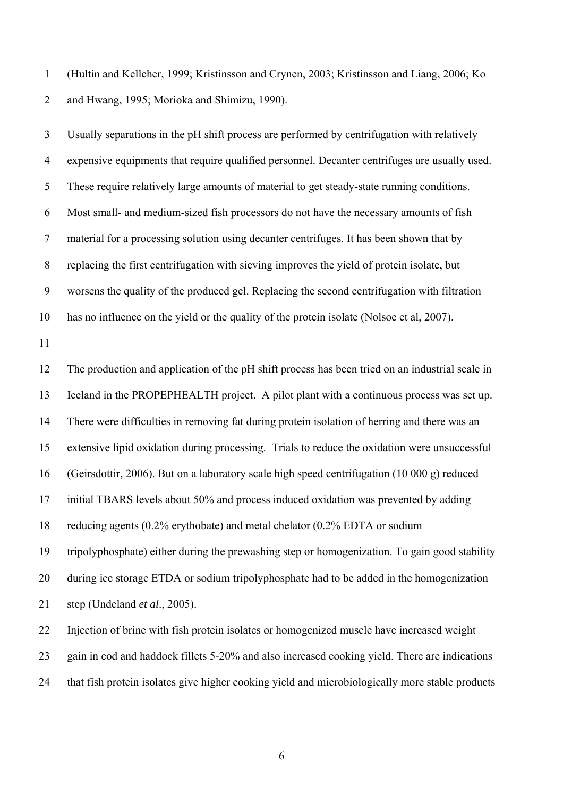1 (Hultin and Kelleher, 1999; Kristinsson and Crynen, 2003; Kristinsson and Liang, 2006; Ko 2 and Hwang, 1995; Morioka and Shimizu, 1990).

3 Usually separations in the pH shift process are performed by centrifugation with relatively 4 expensive equipments that require qualified personnel. Decanter centrifuges are usually used. 5 These require relatively large amounts of material to get steady-state running conditions. 6 Most small- and medium-sized fish processors do not have the necessary amounts of fish 7 material for a processing solution using decanter centrifuges. It has been shown that by 8 replacing the first centrifugation with sieving improves the yield of protein isolate, but 9 worsens the quality of the produced gel. Replacing the second centrifugation with filtration 10 has no influence on the yield or the quality of the protein isolate (Nolsoe et al, 2007).

11

12 The production and application of the pH shift process has been tried on an industrial scale in 13 Iceland in the PROPEPHEALTH project. A pilot plant with a continuous process was set up. 14 There were difficulties in removing fat during protein isolation of herring and there was an 15 extensive lipid oxidation during processing. Trials to reduce the oxidation were unsuccessful 16 (Geirsdottir, 2006). But on a laboratory scale high speed centrifugation (10 000 g) reduced 17 initial TBARS levels about 50% and process induced oxidation was prevented by adding 18 reducing agents (0.2% erythobate) and metal chelator (0.2% EDTA or sodium 19 tripolyphosphate) either during the prewashing step or homogenization. To gain good stability 20 during ice storage ETDA or sodium tripolyphosphate had to be added in the homogenization 21 step (Undeland *et al*., 2005). 22 Injection of brine with fish protein isolates or homogenized muscle have increased weight

23 gain in cod and haddock fillets 5-20% and also increased cooking yield. There are indications

24 that fish protein isolates give higher cooking yield and microbiologically more stable products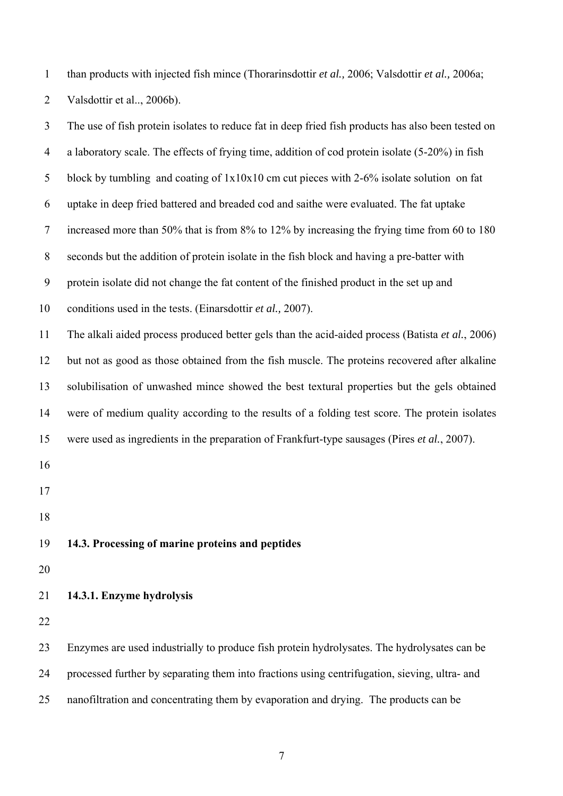1 than products with injected fish mince (Thorarinsdottir *et al.,* 2006; Valsdottir *et al.,* 2006a; 2 Valsdottir et al.., 2006b).

3 The use of fish protein isolates to reduce fat in deep fried fish products has also been tested on 4 a laboratory scale. The effects of frying time, addition of cod protein isolate (5-20%) in fish 5 block by tumbling and coating of 1x10x10 cm cut pieces with 2-6% isolate solution on fat 6 uptake in deep fried battered and breaded cod and saithe were evaluated. The fat uptake 7 increased more than 50% that is from 8% to 12% by increasing the frying time from 60 to 180 8 seconds but the addition of protein isolate in the fish block and having a pre-batter with 9 protein isolate did not change the fat content of the finished product in the set up and 10 conditions used in the tests. (Einarsdottir *et al.,* 2007). 11 The alkali aided process produced better gels than the acid-aided process (Batista *et al.*, 2006) 12 but not as good as those obtained from the fish muscle. The proteins recovered after alkaline 13 solubilisation of unwashed mince showed the best textural properties but the gels obtained 14 were of medium quality according to the results of a folding test score. The protein isolates 15 were used as ingredients in the preparation of Frankfurt-type sausages (Pires *et al.*, 2007). 16 17 18 19 **14.3. Processing of marine proteins and peptides**  20 21 **14.3.1. Enzyme hydrolysis**  22 23 Enzymes are used industrially to produce fish protein hydrolysates. The hydrolysates can be 24 processed further by separating them into fractions using centrifugation, sieving, ultra- and 25 nanofiltration and concentrating them by evaporation and drying. The products can be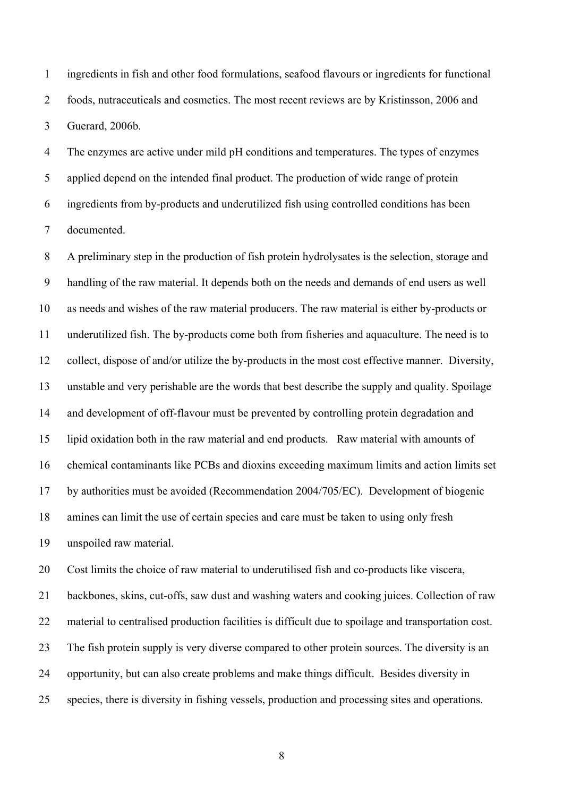1 ingredients in fish and other food formulations, seafood flavours or ingredients for functional 2 foods, nutraceuticals and cosmetics. The most recent reviews are by Kristinsson, 2006 and 3 Guerard, 2006b.

4 The enzymes are active under mild pH conditions and temperatures. The types of enzymes 5 applied depend on the intended final product. The production of wide range of protein 6 ingredients from by-products and underutilized fish using controlled conditions has been 7 documented.

8 A preliminary step in the production of fish protein hydrolysates is the selection, storage and 9 handling of the raw material. It depends both on the needs and demands of end users as well 10 as needs and wishes of the raw material producers. The raw material is either by-products or 11 underutilized fish. The by-products come both from fisheries and aquaculture. The need is to 12 collect, dispose of and/or utilize the by-products in the most cost effective manner. Diversity, 13 unstable and very perishable are the words that best describe the supply and quality. Spoilage 14 and development of off-flavour must be prevented by controlling protein degradation and 15 lipid oxidation both in the raw material and end products. Raw material with amounts of 16 chemical contaminants like PCBs and dioxins exceeding maximum limits and action limits set 17 by authorities must be avoided (Recommendation 2004/705/EC). Development of biogenic 18 amines can limit the use of certain species and care must be taken to using only fresh 19 unspoiled raw material.

20 Cost limits the choice of raw material to underutilised fish and co-products like viscera,

21 backbones, skins, cut-offs, saw dust and washing waters and cooking juices. Collection of raw 22 material to centralised production facilities is difficult due to spoilage and transportation cost. 23 The fish protein supply is very diverse compared to other protein sources. The diversity is an 24 opportunity, but can also create problems and make things difficult. Besides diversity in 25 species, there is diversity in fishing vessels, production and processing sites and operations.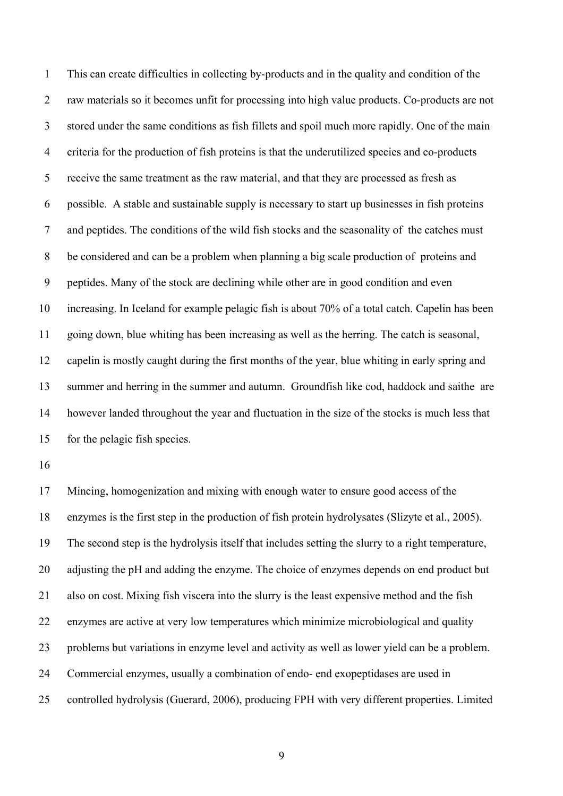1 This can create difficulties in collecting by-products and in the quality and condition of the 2 raw materials so it becomes unfit for processing into high value products. Co-products are not 3 stored under the same conditions as fish fillets and spoil much more rapidly. One of the main 4 criteria for the production of fish proteins is that the underutilized species and co-products 5 receive the same treatment as the raw material, and that they are processed as fresh as 6 possible. A stable and sustainable supply is necessary to start up businesses in fish proteins 7 and peptides. The conditions of the wild fish stocks and the seasonality of the catches must 8 be considered and can be a problem when planning a big scale production of proteins and 9 peptides. Many of the stock are declining while other are in good condition and even 10 increasing. In Iceland for example pelagic fish is about 70% of a total catch. Capelin has been 11 going down, blue whiting has been increasing as well as the herring. The catch is seasonal, 12 capelin is mostly caught during the first months of the year, blue whiting in early spring and 13 summer and herring in the summer and autumn. Groundfish like cod, haddock and saithe are 14 however landed throughout the year and fluctuation in the size of the stocks is much less that 15 for the pelagic fish species.

16

17 Mincing, homogenization and mixing with enough water to ensure good access of the 18 enzymes is the first step in the production of fish protein hydrolysates (Slizyte et al., 2005). 19 The second step is the hydrolysis itself that includes setting the slurry to a right temperature, 20 adjusting the pH and adding the enzyme. The choice of enzymes depends on end product but 21 also on cost. Mixing fish viscera into the slurry is the least expensive method and the fish 22 enzymes are active at very low temperatures which minimize microbiological and quality 23 problems but variations in enzyme level and activity as well as lower yield can be a problem. 24 Commercial enzymes, usually a combination of endo- end exopeptidases are used in 25 controlled hydrolysis (Guerard, 2006), producing FPH with very different properties. Limited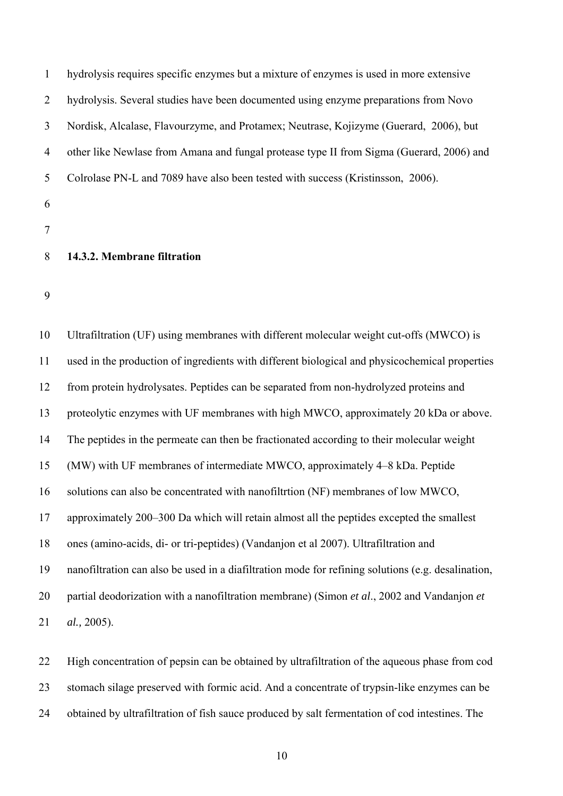| 1  | hydrolysis requires specific enzymes but a mixture of enzymes is used in more extensive  |
|----|------------------------------------------------------------------------------------------|
| 2  | hydrolysis. Several studies have been documented using enzyme preparations from Novo     |
| 3  | Nordisk, Alcalase, Flavourzyme, and Protamex; Neutrase, Kojizyme (Guerard, 2006), but    |
| 4  | other like Newlase from Amana and fungal protease type II from Sigma (Guerard, 2006) and |
| 5  | Colrolase PN-L and 7089 have also been tested with success (Kristinsson, 2006).          |
| 6  |                                                                                          |
|    |                                                                                          |
| 8  | 14.3.2. Membrane filtration                                                              |
| 9  |                                                                                          |
| 10 | Ultrafiltration (UF) using membranes with different molecular weight cut-offs (MWCO) is  |

11 used in the production of ingredients with different biological and physicochemical properties 12 from protein hydrolysates. Peptides can be separated from non-hydrolyzed proteins and 13 proteolytic enzymes with UF membranes with high MWCO, approximately 20 kDa or above. 14 The peptides in the permeate can then be fractionated according to their molecular weight 15 (MW) with UF membranes of intermediate MWCO, approximately 4–8 kDa. Peptide 16 solutions can also be concentrated with nanofiltrtion (NF) membranes of low MWCO, 17 approximately 200–300 Da which will retain almost all the peptides excepted the smallest 18 ones (amino-acids, di- or tri-peptides) (Vandanjon et al 2007). Ultrafiltration and 19 nanofiltration can also be used in a diafiltration mode for refining solutions (e.g. desalination, 20 partial deodorization with a nanofiltration membrane) (Simon *et al*., 2002 and Vandanjon *et*  21 *al.,* 2005).

22 High concentration of pepsin can be obtained by ultrafiltration of the aqueous phase from cod 23 stomach silage preserved with formic acid. And a concentrate of trypsin-like enzymes can be 24 obtained by ultrafiltration of fish sauce produced by salt fermentation of cod intestines. The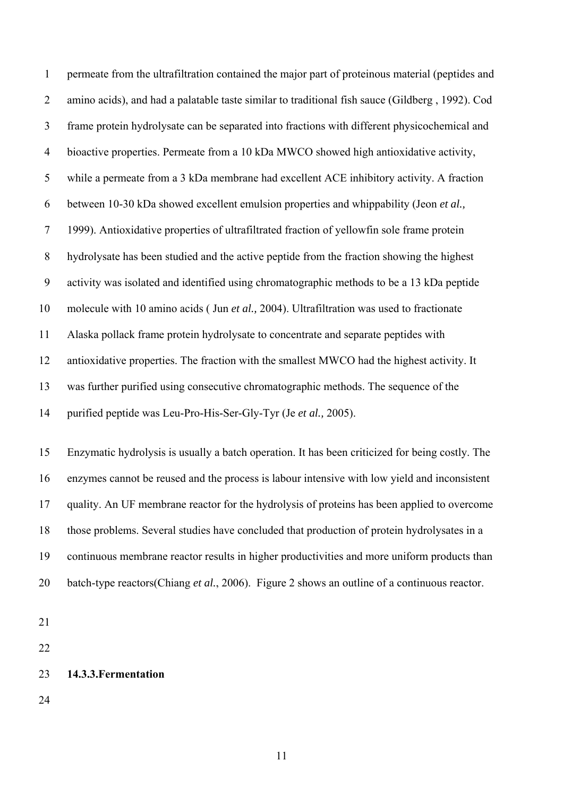1 permeate from the ultrafiltration contained the major part of proteinous material (peptides and 2 amino acids), and had a palatable taste similar to traditional fish sauce (Gildberg , 1992). Cod 3 frame protein hydrolysate can be separated into fractions with different physicochemical and 4 bioactive properties. Permeate from a 10 kDa MWCO showed high antioxidative activity, 5 while a permeate from a 3 kDa membrane had excellent ACE inhibitory activity. A fraction 6 between 10-30 kDa showed excellent emulsion properties and whippability (Jeon *et al.,*  7 1999). Antioxidative properties of ultrafiltrated fraction of yellowfin sole frame protein 8 hydrolysate has been studied and the active peptide from the fraction showing the highest 9 activity was isolated and identified using chromatographic methods to be a 13 kDa peptide 10 molecule with 10 amino acids ( Jun *et al.,* 2004). Ultrafiltration was used to fractionate 11 Alaska pollack frame protein hydrolysate to concentrate and separate peptides with 12 antioxidative properties. The fraction with the smallest MWCO had the highest activity. It 13 was further purified using consecutive chromatographic methods. The sequence of the 14 purified peptide was Leu-Pro-His-Ser-Gly-Tyr (Je *et al.,* 2005).

15 Enzymatic hydrolysis is usually a batch operation. It has been criticized for being costly. The 16 enzymes cannot be reused and the process is labour intensive with low yield and inconsistent 17 quality. An UF membrane reactor for the hydrolysis of proteins has been applied to overcome 18 those problems. Several studies have concluded that production of protein hydrolysates in a 19 continuous membrane reactor results in higher productivities and more uniform products than 20 batch-type reactors(Chiang *et al.*, 2006). Figure 2 shows an outline of a continuous reactor.

21

22

## 23 **14.3.3.Fermentation**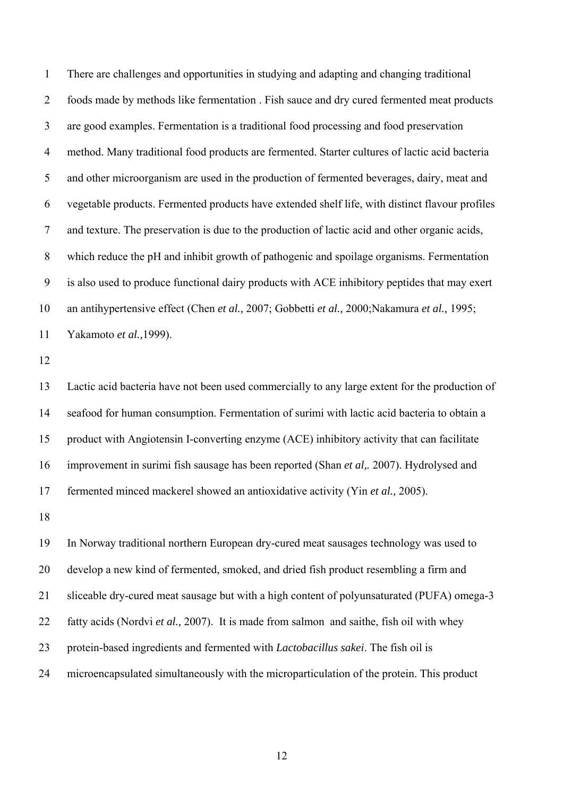1 There are challenges and opportunities in studying and adapting and changing traditional 2 foods made by methods like fermentation . Fish sauce and dry cured fermented meat products 3 are good examples. Fermentation is a traditional food processing and food preservation 4 method. Many traditional food products are fermented. Starter cultures of lactic acid bacteria 5 and other microorganism are used in the production of fermented beverages, dairy, meat and 6 vegetable products. Fermented products have extended shelf life, with distinct flavour profiles 7 and texture. The preservation is due to the production of lactic acid and other organic acids, 8 which reduce the pH and inhibit growth of pathogenic and spoilage organisms. Fermentation 9 is also used to produce functional dairy products with ACE inhibitory peptides that may exert 10 an antihypertensive effect (Chen *et al.,* 2007; Gobbetti *et al.,* 2000;Nakamura *et al.,* 1995; 11 Yakamoto *et al.,*1999).

12

13 Lactic acid bacteria have not been used commercially to any large extent for the production of 14 seafood for human consumption. Fermentation of surimi with lactic acid bacteria to obtain a 15 product with Angiotensin I-converting enzyme (ACE) inhibitory activity that can facilitate 16 improvement in surimi fish sausage has been reported (Shan *et al,.* 2007). Hydrolysed and 17 fermented minced mackerel showed an antioxidative activity (Yin *et al.,* 2005).

18

19 In Norway traditional northern European dry-cured meat sausages technology was used to 20 develop a new kind of fermented, smoked, and dried fish product resembling a firm and 21 sliceable dry-cured meat sausage but with a high content of polyunsaturated (PUFA) omega-3 22 fatty acids (Nordvi *et al.,* 2007). It is made from salmon and saithe, fish oil with whey 23 protein-based ingredients and fermented with *Lactobacillus sakei*. The fish oil is 24 microencapsulated simultaneously with the microparticulation of the protein. This product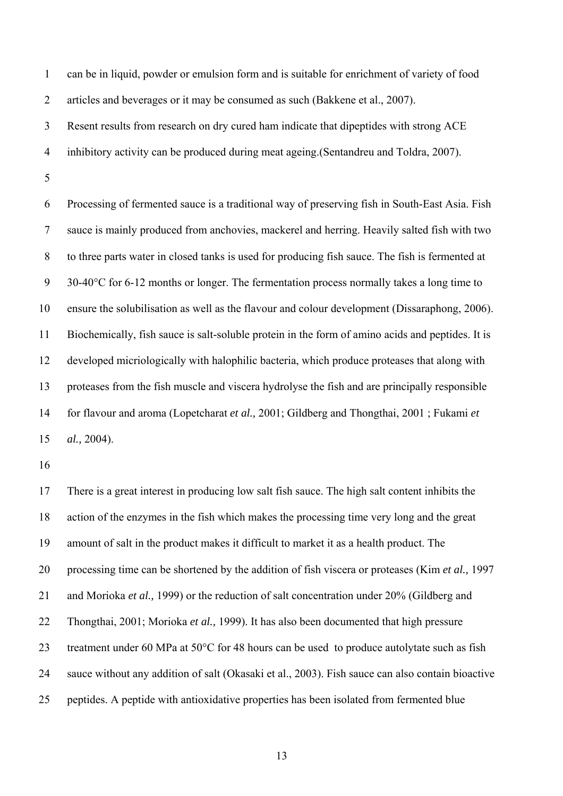1 can be in liquid, powder or emulsion form and is suitable for enrichment of variety of food 2 articles and beverages or it may be consumed as such (Bakkene et al., 2007).

3 Resent results from research on dry cured ham indicate that dipeptides with strong ACE

4 inhibitory activity can be produced during meat ageing.(Sentandreu and Toldra, 2007).

5

6 Processing of fermented sauce is a traditional way of preserving fish in South-East Asia. Fish 7 sauce is mainly produced from anchovies, mackerel and herring. Heavily salted fish with two 8 to three parts water in closed tanks is used for producing fish sauce. The fish is fermented at 9 30-40°C for 6-12 months or longer. The fermentation process normally takes a long time to 10 ensure the solubilisation as well as the flavour and colour development (Dissaraphong, 2006). 11 Biochemically, fish sauce is salt-soluble protein in the form of amino acids and peptides. It is 12 developed micriologically with halophilic bacteria, which produce proteases that along with 13 proteases from the fish muscle and viscera hydrolyse the fish and are principally responsible 14 for flavour and aroma (Lopetcharat *et al.,* 2001; Gildberg and Thongthai, 2001 ; Fukami *et*  15 *al.,* 2004).

16

17 There is a great interest in producing low salt fish sauce. The high salt content inhibits the 18 action of the enzymes in the fish which makes the processing time very long and the great 19 amount of salt in the product makes it difficult to market it as a health product. The 20 processing time can be shortened by the addition of fish viscera or proteases (Kim *et al.,* 1997 21 and Morioka *et al.,* 1999) or the reduction of salt concentration under 20% (Gildberg and 22 Thongthai, 2001; Morioka *et al.,* 1999). It has also been documented that high pressure 23 treatment under 60 MPa at 50°C for 48 hours can be used to produce autolytate such as fish 24 sauce without any addition of salt (Okasaki et al., 2003). Fish sauce can also contain bioactive 25 peptides. A peptide with antioxidative properties has been isolated from fermented blue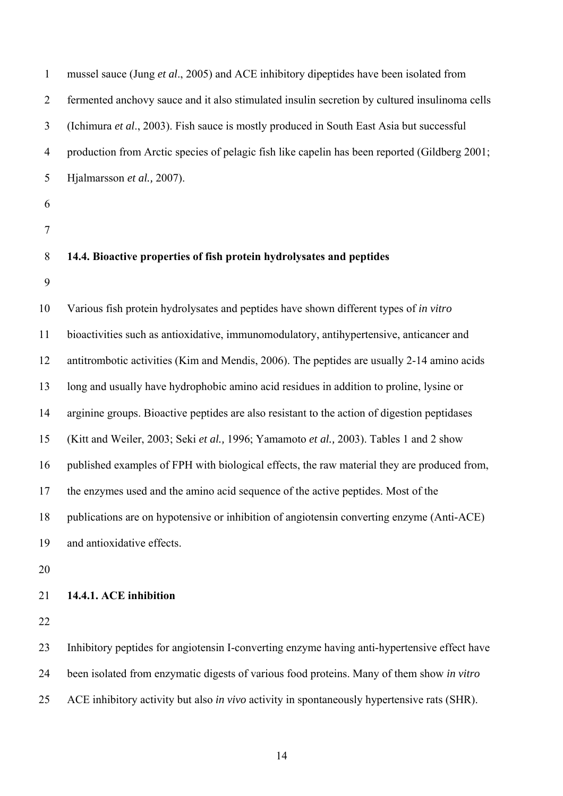| $\mathbf{1}$   | mussel sauce (Jung et al., 2005) and ACE inhibitory dipeptides have been isolated from             |
|----------------|----------------------------------------------------------------------------------------------------|
| $\overline{2}$ | fermented anchovy sauce and it also stimulated insulin secretion by cultured insulinoma cells      |
| $\mathfrak{Z}$ | (Ichimura et al., 2003). Fish sauce is mostly produced in South East Asia but successful           |
| $\overline{4}$ | production from Arctic species of pelagic fish like capelin has been reported (Gildberg 2001;      |
| 5              | Hjalmarsson et al., 2007).                                                                         |
| 6              |                                                                                                    |
| $\overline{7}$ |                                                                                                    |
| 8              | 14.4. Bioactive properties of fish protein hydrolysates and peptides                               |
| 9              |                                                                                                    |
| 10             | Various fish protein hydrolysates and peptides have shown different types of in vitro              |
| 11             | bioactivities such as antioxidative, immunomodulatory, antihypertensive, anticancer and            |
| 12             | antitrombotic activities (Kim and Mendis, 2006). The peptides are usually 2-14 amino acids         |
| 13             | long and usually have hydrophobic amino acid residues in addition to proline, lysine or            |
| 14             | arginine groups. Bioactive peptides are also resistant to the action of digestion peptidases       |
| 15             | (Kitt and Weiler, 2003; Seki et al., 1996; Yamamoto et al., 2003). Tables 1 and 2 show             |
| 16             | published examples of FPH with biological effects, the raw material they are produced from,        |
| 17             | the enzymes used and the amino acid sequence of the active peptides. Most of the                   |
| 18             | publications are on hypotensive or inhibition of angiotensin converting enzyme (Anti-ACE)          |
| 19             | and antioxidative effects.                                                                         |
| 20             |                                                                                                    |
| 21             | 14.4.1. ACE inhibition                                                                             |
| 22             |                                                                                                    |
| 23             | Inhibitory peptides for angiotensin I-converting enzyme having anti-hypertensive effect have       |
| 24             | been isolated from enzymatic digests of various food proteins. Many of them show in vitro          |
| 25             | ACE inhibitory activity but also <i>in vivo</i> activity in spontaneously hypertensive rats (SHR). |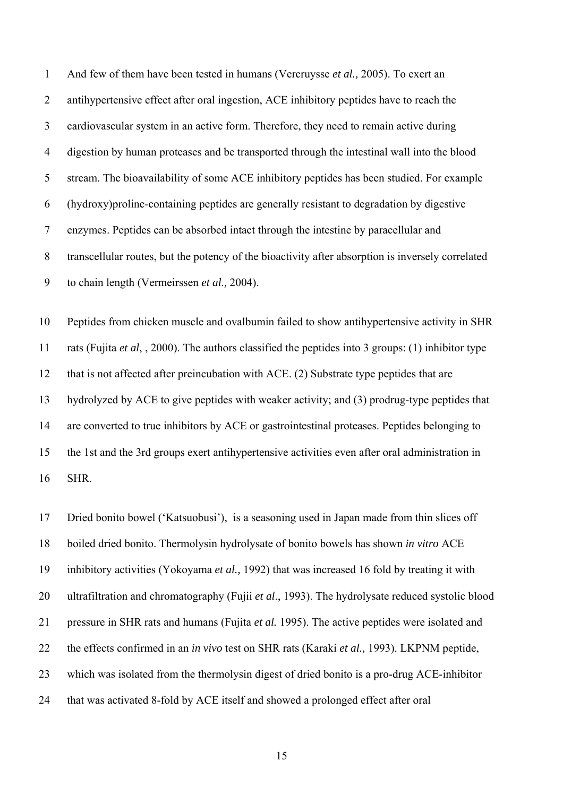1 And few of them have been tested in humans (Vercruysse *et al.,* 2005). To exert an 2 antihypertensive effect after oral ingestion, ACE inhibitory peptides have to reach the 3 cardiovascular system in an active form. Therefore, they need to remain active during 4 digestion by human proteases and be transported through the intestinal wall into the blood 5 stream. The bioavailability of some ACE inhibitory peptides has been studied. For example 6 (hydroxy)proline-containing peptides are generally resistant to degradation by digestive 7 enzymes. Peptides can be absorbed intact through the intestine by paracellular and 8 transcellular routes, but the potency of the bioactivity after absorption is inversely correlated 9 to chain length (Vermeirssen *et al.,* 2004).

10 Peptides from chicken muscle and ovalbumin failed to show antihypertensive activity in SHR 11 rats (Fujita *et al*, , 2000). The authors classified the peptides into 3 groups: (1) inhibitor type 12 that is not affected after preincubation with ACE. (2) Substrate type peptides that are 13 hydrolyzed by ACE to give peptides with weaker activity; and (3) prodrug-type peptides that 14 are converted to true inhibitors by ACE or gastrointestinal proteases. Peptides belonging to 15 the 1st and the 3rd groups exert antihypertensive activities even after oral administration in 16 SHR.

17 Dried bonito bowel ('Katsuobusi'), is a seasoning used in Japan made from thin slices off 18 boiled dried bonito. Thermolysin hydrolysate of bonito bowels has shown *in vitro* ACE 19 inhibitory activities (Yokoyama *et al.,* 1992) that was increased 16 fold by treating it with 20 ultrafiltration and chromatography (Fujii *et al*., 1993). The hydrolysate reduced systolic blood 21 pressure in SHR rats and humans (Fujita *et al.* 1995). The active peptides were isolated and 22 the effects confirmed in an *in vivo* test on SHR rats (Karaki *et al.,* 1993). LKPNM peptide, 23 which was isolated from the thermolysin digest of dried bonito is a pro-drug ACE-inhibitor 24 that was activated 8-fold by ACE itself and showed a prolonged effect after oral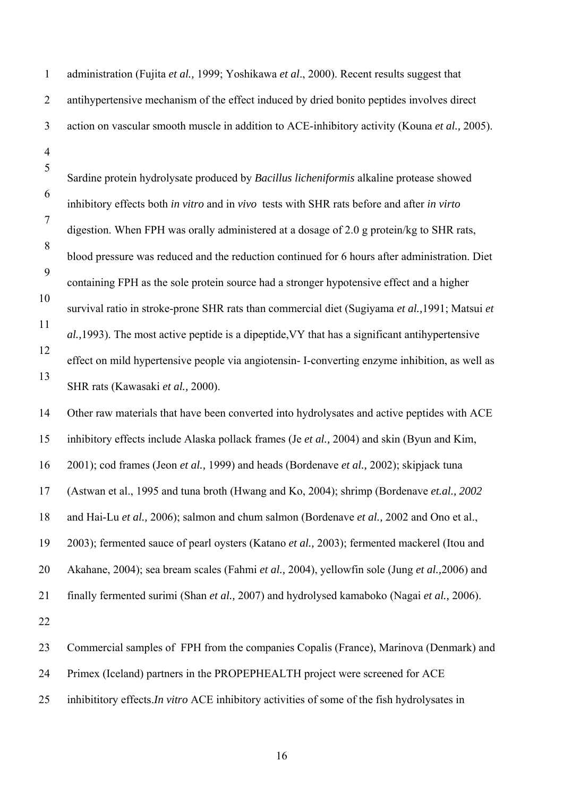| $\mathbf{1}$        | administration (Fujita et al., 1999; Yoshikawa et al., 2000). Recent results suggest that      |
|---------------------|------------------------------------------------------------------------------------------------|
| $\overline{2}$      | antihypertensive mechanism of the effect induced by dried bonito peptides involves direct      |
| $\mathfrak{Z}$      | action on vascular smooth muscle in addition to ACE-inhibitory activity (Kouna et al., 2005).  |
| $\overline{4}$<br>5 | Sardine protein hydrolysate produced by Bacillus licheniformis alkaline protease showed        |
| 6                   | inhibitory effects both in vitro and in vivo tests with SHR rats before and after in virto     |
| $\overline{7}$      | digestion. When FPH was orally administered at a dosage of 2.0 g protein/kg to SHR rats,       |
| 8                   | blood pressure was reduced and the reduction continued for 6 hours after administration. Diet  |
| 9                   | containing FPH as the sole protein source had a stronger hypotensive effect and a higher       |
| 10                  | survival ratio in stroke-prone SHR rats than commercial diet (Sugiyama et al., 1991; Matsui et |
| 11                  | al., 1993). The most active peptide is a dipeptide, VY that has a significant antihypertensive |
| 12                  | effect on mild hypertensive people via angiotensin- I-converting enzyme inhibition, as well as |
| 13                  | SHR rats (Kawasaki et al., 2000).                                                              |
| 14                  | Other raw materials that have been converted into hydrolysates and active peptides with ACE    |
| 15                  | inhibitory effects include Alaska pollack frames (Je et al., 2004) and skin (Byun and Kim,     |
| 16                  | 2001); cod frames (Jeon et al., 1999) and heads (Bordenave et al., 2002); skipjack tuna        |
| 17                  | (Astwan et al., 1995 and tuna broth (Hwang and Ko, 2004); shrimp (Bordenave et.al., 2002)      |
| 18                  | and Hai-Lu et al., 2006); salmon and chum salmon (Bordenave et al., 2002 and Ono et al.,       |
| 19                  | 2003); fermented sauce of pearl oysters (Katano et al., 2003); fermented mackerel (Itou and    |
| 20                  | Akahane, 2004); sea bream scales (Fahmi et al., 2004), yellowfin sole (Jung et al., 2006) and  |
| 21                  | finally fermented surimi (Shan et al., 2007) and hydrolysed kamaboko (Nagai et al., 2006).     |
| 22                  |                                                                                                |
| 23                  | Commercial samples of FPH from the companies Copalis (France), Marinova (Denmark) and          |
| 24                  | Primex (Iceland) partners in the PROPEPHEALTH project were screened for ACE                    |
| 25                  | inhibititory effects.In vitro ACE inhibitory activities of some of the fish hydrolysates in    |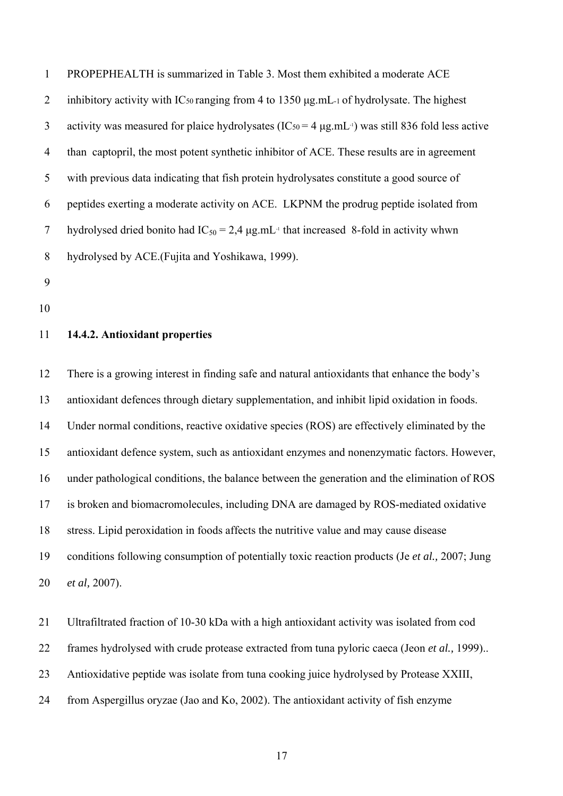| $\mathbf{1}$   | PROPEPHEALTH is summarized in Table 3. Most them exhibited a moderate ACE                                    |
|----------------|--------------------------------------------------------------------------------------------------------------|
| $\overline{2}$ | inhibitory activity with IC <sub>50</sub> ranging from 4 to 1350 µg.mL-1 of hydrolysate. The highest         |
| 3              | activity was measured for plaice hydrolysates ( $IC_{50} = 4 \mu g.mL^{-1}$ ) was still 836 fold less active |
| 4              | than captopril, the most potent synthetic inhibitor of ACE. These results are in agreement                   |
| 5              | with previous data indicating that fish protein hydrolysates constitute a good source of                     |
| 6              | peptides exerting a moderate activity on ACE. LKPNM the prodrug peptide isolated from                        |
| 7              | hydrolysed dried bonito had $IC_{50} = 2.4 \mu g.mL^{-1}$ that increased 8-fold in activity whwn             |
| 8              | hydrolysed by ACE. (Fujita and Yoshikawa, 1999).                                                             |

- 9
- 10

# 11 **14.4.2. Antioxidant properties**

12 There is a growing interest in finding safe and natural antioxidants that enhance the body's 13 antioxidant defences through dietary supplementation, and inhibit lipid oxidation in foods. 14 Under normal conditions, reactive oxidative species (ROS) are effectively eliminated by the 15 antioxidant defence system, such as antioxidant enzymes and nonenzymatic factors. However, 16 under pathological conditions, the balance between the generation and the elimination of ROS 17 is broken and biomacromolecules, including DNA are damaged by ROS-mediated oxidative 18 stress. Lipid peroxidation in foods affects the nutritive value and may cause disease 19 conditions following consumption of potentially toxic reaction products (Je *et al.,* 2007; Jung 20 *et al,* 2007).

21 Ultrafiltrated fraction of 10-30 kDa with a high antioxidant activity was isolated from cod 22 frames hydrolysed with crude protease extracted from tuna pyloric caeca (Jeon *et al.,* 1999).. 23 Antioxidative peptide was isolate from tuna cooking juice hydrolysed by Protease XXIII, 24 from Aspergillus oryzae (Jao and Ko, 2002). The antioxidant activity of fish enzyme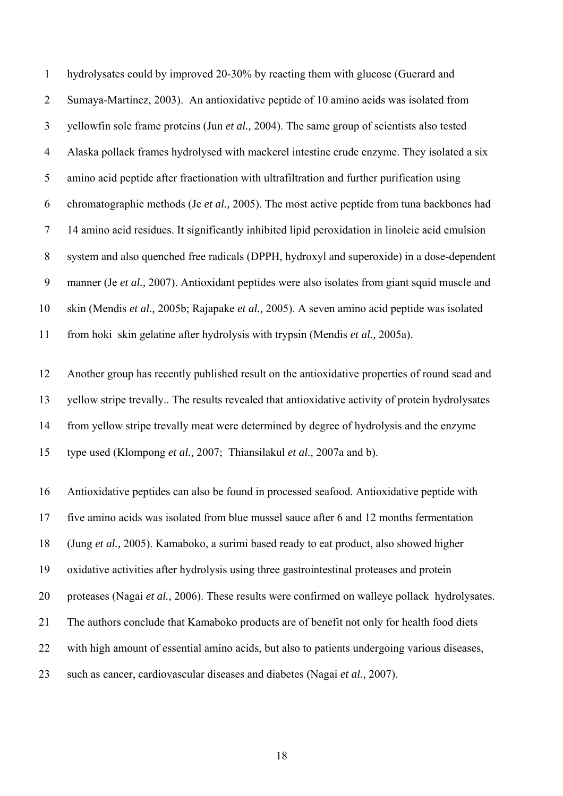1 hydrolysates could by improved 20-30% by reacting them with glucose (Guerard and 2 Sumaya-Martinez, 2003). An antioxidative peptide of 10 amino acids was isolated from 3 yellowfin sole frame proteins (Jun *et al.,* 2004). The same group of scientists also tested 4 Alaska pollack frames hydrolysed with mackerel intestine crude enzyme. They isolated a six 5 amino acid peptide after fractionation with ultrafiltration and further purification using 6 chromatographic methods (Je *et al.,* 2005). The most active peptide from tuna backbones had 7 14 amino acid residues. It significantly inhibited lipid peroxidation in linoleic acid emulsion 8 system and also quenched free radicals (DPPH, hydroxyl and superoxide) in a dose-dependent 9 manner (Je *et al.,* 2007). Antioxidant peptides were also isolates from giant squid muscle and 10 skin (Mendis *et al.,* 2005b; Rajapake *et al.,* 2005). A seven amino acid peptide was isolated 11 from hoki skin gelatine after hydrolysis with trypsin (Mendis *et al.,* 2005a).

12 Another group has recently published result on the antioxidative properties of round scad and 13 yellow stripe trevally.. The results revealed that antioxidative activity of protein hydrolysates 14 from yellow stripe trevally meat were determined by degree of hydrolysis and the enzyme 15 type used (Klompong *et al.,* 2007; Thiansilakul *et al.,* 2007a and b).

16 Antioxidative peptides can also be found in processed seafood. Antioxidative peptide with 17 five amino acids was isolated from blue mussel sauce after 6 and 12 months fermentation 18 (Jung *et al.,* 2005). Kamaboko, a surimi based ready to eat product, also showed higher 19 oxidative activities after hydrolysis using three gastrointestinal proteases and protein 20 proteases (Nagai *et al.,* 2006). These results were confirmed on walleye pollack hydrolysates. 21 The authors conclude that Kamaboko products are of benefit not only for health food diets 22 with high amount of essential amino acids, but also to patients undergoing various diseases, 23 such as cancer, cardiovascular diseases and diabetes (Nagai *et al.,* 2007).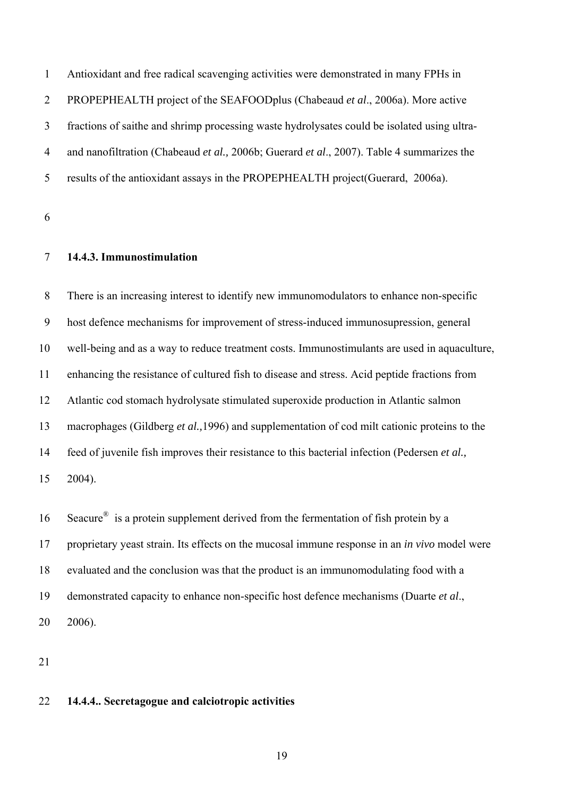1 Antioxidant and free radical scavenging activities were demonstrated in many FPHs in 2 PROPEPHEALTH project of the SEAFOODplus (Chabeaud *et al*., 2006a). More active 3 fractions of saithe and shrimp processing waste hydrolysates could be isolated using ultra-4 and nanofiltration (Chabeaud *et al.,* 2006b; Guerard *et al*., 2007). Table 4 summarizes the 5 results of the antioxidant assays in the PROPEPHEALTH project(Guerard, 2006a).

6

# 7 **14.4.3. Immunostimulation**

8 There is an increasing interest to identify new immunomodulators to enhance non-specific 9 host defence mechanisms for improvement of stress-induced immunosupression, general 10 well-being and as a way to reduce treatment costs. Immunostimulants are used in aquaculture, 11 enhancing the resistance of cultured fish to disease and stress. Acid peptide fractions from 12 Atlantic cod stomach hydrolysate stimulated superoxide production in Atlantic salmon 13 macrophages (Gildberg *et al.,*1996) and supplementation of cod milt cationic proteins to the 14 feed of juvenile fish improves their resistance to this bacterial infection (Pedersen *et al.,*  15 2004).

16 Seacure<sup>®</sup> is a protein supplement derived from the fermentation of fish protein by a 17 proprietary yeast strain. Its effects on the mucosal immune response in an *in vivo* model were 18 evaluated and the conclusion was that the product is an immunomodulating food with a 19 demonstrated capacity to enhance non-specific host defence mechanisms (Duarte *et al*., 20 2006).

21

# 22 **14.4.4.. Secretagogue and calciotropic activities**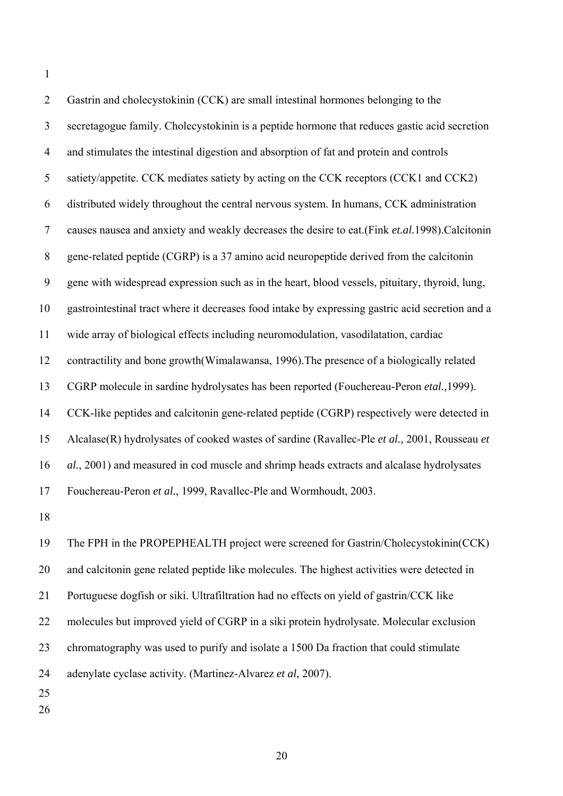1

| $\overline{2}$ | Gastrin and cholecystokinin (CCK) are small intestinal hormones belonging to the                 |
|----------------|--------------------------------------------------------------------------------------------------|
| 3              | secretagogue family. Cholecystokinin is a peptide hormone that reduces gastic acid secretion     |
| 4              | and stimulates the intestinal digestion and absorption of fat and protein and controls           |
| 5              | satiety/appetite. CCK mediates satiety by acting on the CCK receptors (CCK1 and CCK2)            |
| 6              | distributed widely throughout the central nervous system. In humans, CCK administration          |
| $\tau$         | causes nausea and anxiety and weakly decreases the desire to eat.(Fink et.al.1998).Calcitonin    |
| 8              | gene-related peptide (CGRP) is a 37 amino acid neuropeptide derived from the calcitonin          |
| 9              | gene with widespread expression such as in the heart, blood vessels, pituitary, thyroid, lung,   |
| 10             | gastrointestinal tract where it decreases food intake by expressing gastric acid secretion and a |
| 11             | wide array of biological effects including neuromodulation, vasodilatation, cardiac              |
| 12             | contractility and bone growth (Wimalawansa, 1996). The presence of a biologically related        |
| 13             | CGRP molecule in sardine hydrolysates has been reported (Fouchereau-Peron etal., 1999).          |
| 14             | CCK-like peptides and calcitonin gene-related peptide (CGRP) respectively were detected in       |
| 15             | Alcalase(R) hydrolysates of cooked wastes of sardine (Ravallec-Ple et al., 2001, Rousseau et     |
| 16             | al., 2001) and measured in cod muscle and shrimp heads extracts and alcalase hydrolysates        |
| 17             | Fouchereau-Peron et al., 1999, Ravallec-Ple and Wormhoudt, 2003.                                 |
| 18             |                                                                                                  |

19 The FPH in the PROPEPHEALTH project were screened for Gastrin/Cholecystokinin(CCK) 20 and calcitonin gene related peptide like molecules. The highest activities were detected in 21 Portuguese dogfish or siki. Ultrafiltration had no effects on yield of gastrin/CCK like 22 molecules but improved yield of CGRP in a siki protein hydrolysate. Molecular exclusion 23 chromatography was used to purify and isolate a 1500 Da fraction that could stimulate 24 adenylate cyclase activity. (Martinez-Alvarez *et al*, 2007). 25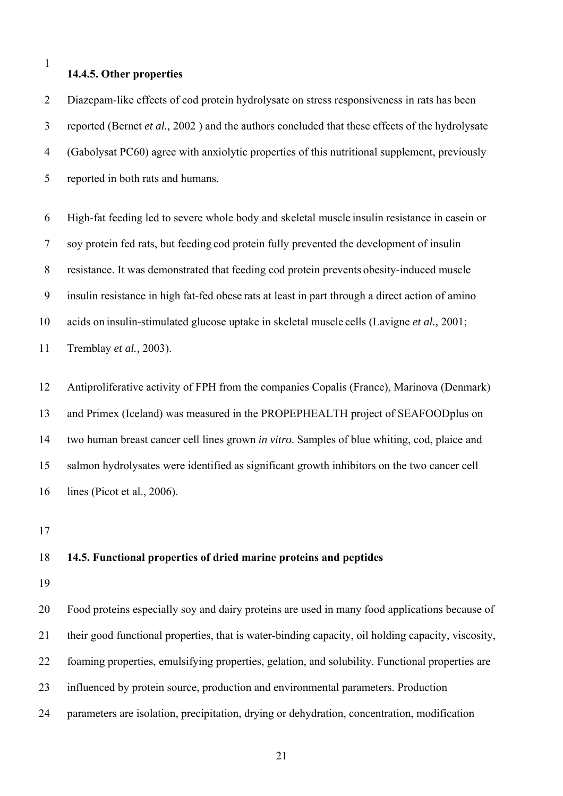1

#### **14.4.5. Other properties**

2 Diazepam-like effects of cod protein hydrolysate on stress responsiveness in rats has been 3 reported (Bernet *et al.,* 2002 ) and the authors concluded that these effects of the hydrolysate 4 (Gabolysat PC60) agree with anxiolytic properties of this nutritional supplement, previously 5 reported in both rats and humans.

6 High-fat feeding led to severe whole body and skeletal muscle insulin resistance in casein or 7 soy protein fed rats, but feeding cod protein fully prevented the development of insulin 8 resistance. It was demonstrated that feeding cod protein prevents obesity-induced muscle 9 insulin resistance in high fat-fed obese rats at least in part through a direct action of amino 10 acids on insulin-stimulated glucose uptake in skeletal muscle cells (Lavigne *et al.,* 2001; 11 Tremblay *et al.,* 2003).

12 Antiproliferative activity of FPH from the companies Copalis (France), Marinova (Denmark) 13 and Primex (Iceland) was measured in the PROPEPHEALTH project of SEAFOODplus on 14 two human breast cancer cell lines grown *in vitro*. Samples of blue whiting, cod, plaice and 15 salmon hydrolysates were identified as significant growth inhibitors on the two cancer cell 16 lines (Picot et al., 2006).

17

## 18 **14.5. Functional properties of dried marine proteins and peptides**

19

20 Food proteins especially soy and dairy proteins are used in many food applications because of 21 their good functional properties, that is water-binding capacity, oil holding capacity, viscosity, 22 foaming properties, emulsifying properties, gelation, and solubility. Functional properties are 23 influenced by protein source, production and environmental parameters. Production 24 parameters are isolation, precipitation, drying or dehydration, concentration, modification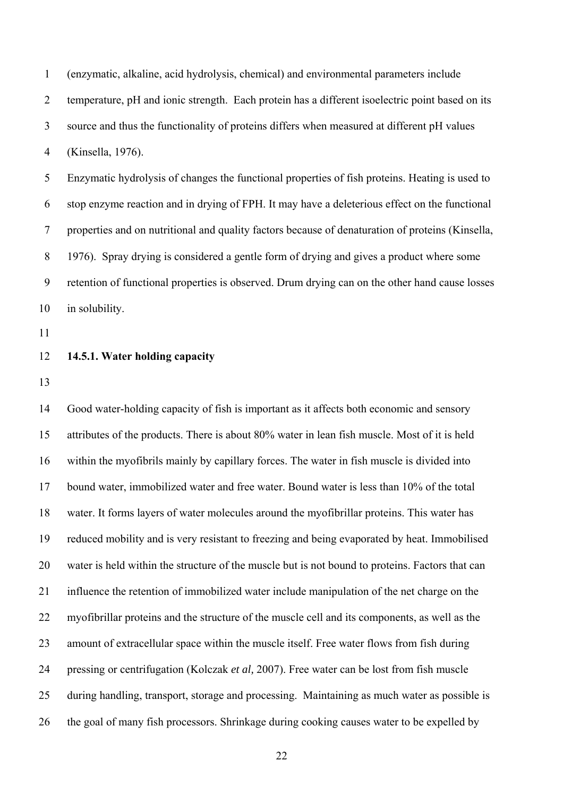1 (enzymatic, alkaline, acid hydrolysis, chemical) and environmental parameters include 2 temperature, pH and ionic strength. Each protein has a different isoelectric point based on its 3 source and thus the functionality of proteins differs when measured at different pH values 4 (Kinsella, 1976).

5 Enzymatic hydrolysis of changes the functional properties of fish proteins. Heating is used to 6 stop enzyme reaction and in drying of FPH. It may have a deleterious effect on the functional 7 properties and on nutritional and quality factors because of denaturation of proteins (Kinsella, 8 1976). Spray drying is considered a gentle form of drying and gives a product where some 9 retention of functional properties is observed. Drum drying can on the other hand cause losses 10 in solubility.

11

# 12 **14.5.1. Water holding capacity**

13

14 Good water-holding capacity of fish is important as it affects both economic and sensory 15 attributes of the products. There is about 80% water in lean fish muscle. Most of it is held 16 within the myofibrils mainly by capillary forces. The water in fish muscle is divided into 17 bound water, immobilized water and free water. Bound water is less than 10% of the total 18 water. It forms layers of water molecules around the myofibrillar proteins. This water has 19 reduced mobility and is very resistant to freezing and being evaporated by heat. Immobilised 20 water is held within the structure of the muscle but is not bound to proteins. Factors that can 21 influence the retention of immobilized water include manipulation of the net charge on the 22 myofibrillar proteins and the structure of the muscle cell and its components, as well as the 23 amount of extracellular space within the muscle itself. Free water flows from fish during 24 pressing or centrifugation (Kolczak *et al,* 2007). Free water can be lost from fish muscle 25 during handling, transport, storage and processing. Maintaining as much water as possible is 26 the goal of many fish processors. Shrinkage during cooking causes water to be expelled by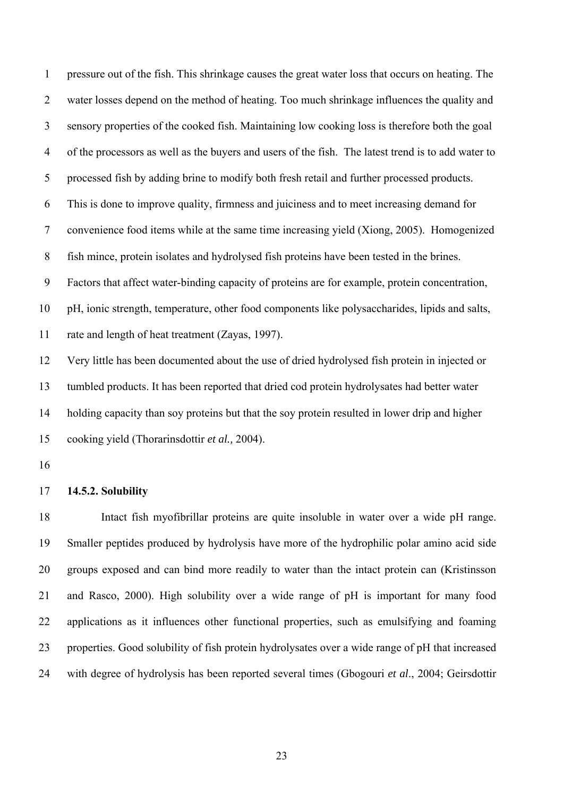1 pressure out of the fish. This shrinkage causes the great water loss that occurs on heating. The 2 water losses depend on the method of heating. Too much shrinkage influences the quality and 3 sensory properties of the cooked fish. Maintaining low cooking loss is therefore both the goal 4 of the processors as well as the buyers and users of the fish. The latest trend is to add water to 5 processed fish by adding brine to modify both fresh retail and further processed products. 6 This is done to improve quality, firmness and juiciness and to meet increasing demand for 7 convenience food items while at the same time increasing yield (Xiong, 2005). Homogenized 8 fish mince, protein isolates and hydrolysed fish proteins have been tested in the brines. 9 Factors that affect water-binding capacity of proteins are for example, protein concentration, 10 pH, ionic strength, temperature, other food components like polysaccharides, lipids and salts, 11 rate and length of heat treatment (Zayas, 1997). 12 Very little has been documented about the use of dried hydrolysed fish protein in injected or

13 tumbled products. It has been reported that dried cod protein hydrolysates had better water 14 holding capacity than soy proteins but that the soy protein resulted in lower drip and higher 15 cooking yield (Thorarinsdottir *et al.,* 2004).

16

## 17 **14.5.2. Solubility**

18 Intact fish myofibrillar proteins are quite insoluble in water over a wide pH range. 19 Smaller peptides produced by hydrolysis have more of the hydrophilic polar amino acid side 20 groups exposed and can bind more readily to water than the intact protein can (Kristinsson 21 and Rasco, 2000). High solubility over a wide range of pH is important for many food 22 applications as it influences other functional properties, such as emulsifying and foaming 23 properties. Good solubility of fish protein hydrolysates over a wide range of pH that increased 24 with degree of hydrolysis has been reported several times (Gbogouri *et al*., 2004; Geirsdottir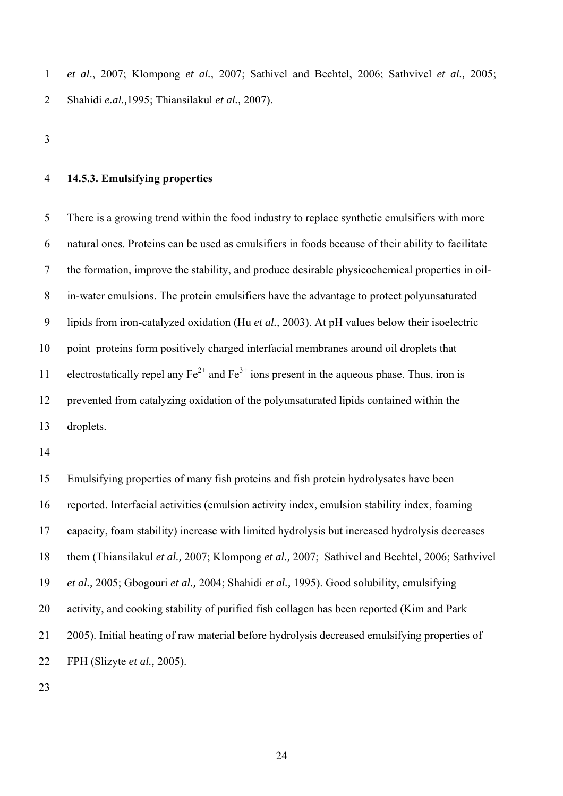1 *et al*., 2007; Klompong *et al.,* 2007; Sathivel and Bechtel, 2006; Sathvivel *et al.,* 2005; 2 Shahidi *e.al.,*1995; Thiansilakul *et al.,* 2007).

3

#### 4 **14.5.3. Emulsifying properties**

5 There is a growing trend within the food industry to replace synthetic emulsifiers with more 6 natural ones. Proteins can be used as emulsifiers in foods because of their ability to facilitate 7 the formation, improve the stability, and produce desirable physicochemical properties in oil-8 in-water emulsions. The protein emulsifiers have the advantage to protect polyunsaturated 9 lipids from iron-catalyzed oxidation (Hu *et al.,* 2003). At pH values below their isoelectric 10 point proteins form positively charged interfacial membranes around oil droplets that 11 electrostatically repel any  $Fe^{2+}$  and  $Fe^{3+}$  ions present in the aqueous phase. Thus, iron is 12 prevented from catalyzing oxidation of the polyunsaturated lipids contained within the 13 droplets.

14

15 Emulsifying properties of many fish proteins and fish protein hydrolysates have been 16 reported. Interfacial activities (emulsion activity index, emulsion stability index, foaming 17 capacity, foam stability) increase with limited hydrolysis but increased hydrolysis decreases 18 them (Thiansilakul *et al.,* 2007; Klompong *et al.,* 2007; Sathivel and Bechtel, 2006; Sathvivel 19 *et al.,* 2005; Gbogouri *et al.,* 2004; Shahidi *et al.,* 1995). Good solubility, emulsifying 20 activity, and cooking stability of purified fish collagen has been reported (Kim and Park 21 2005). Initial heating of raw material before hydrolysis decreased emulsifying properties of 22 FPH (Slizyte *et al.,* 2005).

23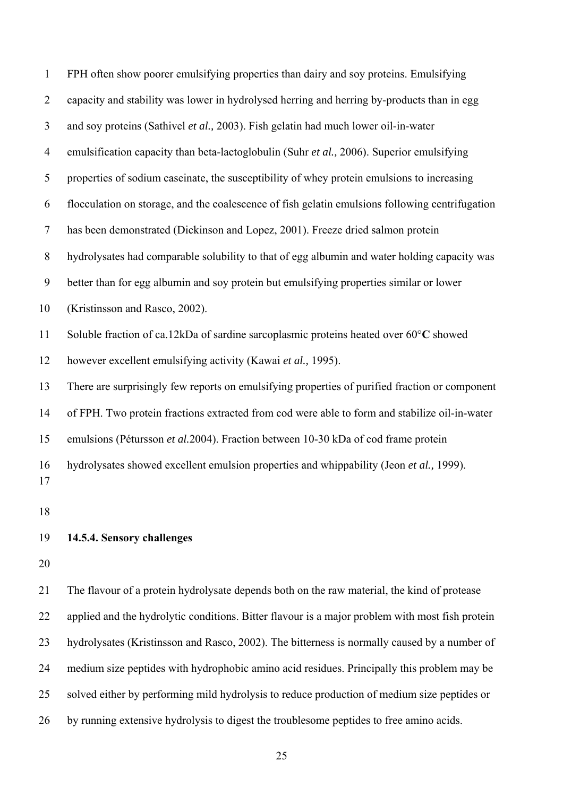| $\mathbf 1$    | FPH often show poorer emulsifying properties than dairy and soy proteins. Emulsifying           |
|----------------|-------------------------------------------------------------------------------------------------|
| $\overline{2}$ | capacity and stability was lower in hydrolysed herring and herring by-products than in egg      |
| 3              | and soy proteins (Sathivel et al., 2003). Fish gelatin had much lower oil-in-water              |
| $\overline{4}$ | emulsification capacity than beta-lactoglobulin (Suhr et al., 2006). Superior emulsifying       |
| 5              | properties of sodium caseinate, the susceptibility of whey protein emulsions to increasing      |
| 6              | flocculation on storage, and the coalescence of fish gelatin emulsions following centrifugation |
| 7              | has been demonstrated (Dickinson and Lopez, 2001). Freeze dried salmon protein                  |
| 8              | hydrolysates had comparable solubility to that of egg albumin and water holding capacity was    |
| 9              | better than for egg albumin and soy protein but emulsifying properties similar or lower         |
| 10             | (Kristinsson and Rasco, 2002).                                                                  |
| 11             | Soluble fraction of ca.12kDa of sardine sarcoplasmic proteins heated over 60°C showed           |
| 12             | however excellent emulsifying activity (Kawai et al., 1995).                                    |
| 13             | There are surprisingly few reports on emulsifying properties of purified fraction or component  |
| 14             | of FPH. Two protein fractions extracted from cod were able to form and stabilize oil-in-water   |
| 15             | emulsions (Pétursson et al.2004). Fraction between 10-30 kDa of cod frame protein               |
| 16<br>17       | hydrolysates showed excellent emulsion properties and whippability (Jeon et al., 1999).         |
| 18             |                                                                                                 |
| 19             | 14.5.4. Sensory challenges                                                                      |
| 20             |                                                                                                 |
| 21             | The flavour of a protein hydrolysate depends both on the raw material, the kind of protease     |
| 22             | applied and the hydrolytic conditions. Bitter flavour is a major problem with most fish protein |
| 23             | hydrolysates (Kristinsson and Rasco, 2002). The bitterness is normally caused by a number of    |
| 24             | medium size peptides with hydrophobic amino acid residues. Principally this problem may be      |
| 25             | solved either by performing mild hydrolysis to reduce production of medium size peptides or     |

26 by running extensive hydrolysis to digest the troublesome peptides to free amino acids.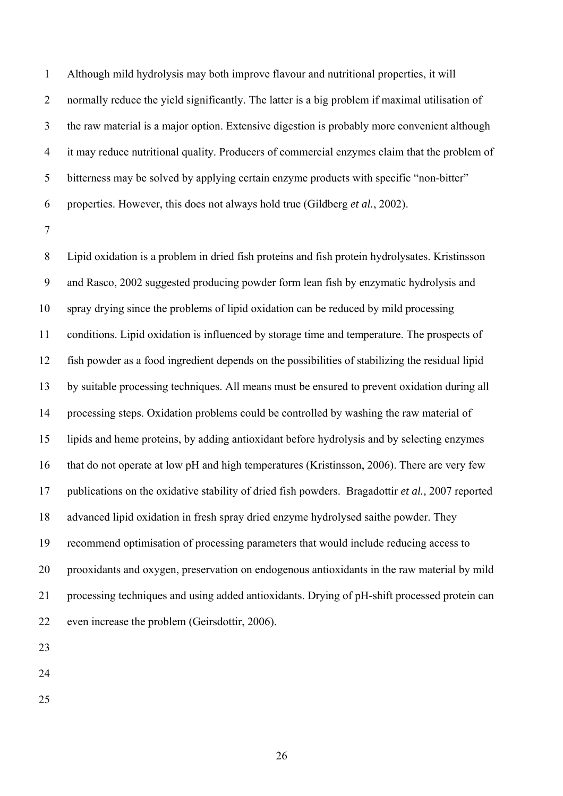1 Although mild hydrolysis may both improve flavour and nutritional properties, it will 2 normally reduce the yield significantly. The latter is a big problem if maximal utilisation of 3 the raw material is a major option. Extensive digestion is probably more convenient although 4 it may reduce nutritional quality. Producers of commercial enzymes claim that the problem of 5 bitterness may be solved by applying certain enzyme products with specific "non-bitter" 6 properties. However, this does not always hold true (Gildberg *et al.*, 2002).

7

8 Lipid oxidation is a problem in dried fish proteins and fish protein hydrolysates. Kristinsson 9 and Rasco, 2002 suggested producing powder form lean fish by enzymatic hydrolysis and 10 spray drying since the problems of lipid oxidation can be reduced by mild processing 11 conditions. Lipid oxidation is influenced by storage time and temperature. The prospects of 12 fish powder as a food ingredient depends on the possibilities of stabilizing the residual lipid 13 by suitable processing techniques. All means must be ensured to prevent oxidation during all 14 processing steps. Oxidation problems could be controlled by washing the raw material of 15 lipids and heme proteins, by adding antioxidant before hydrolysis and by selecting enzymes 16 that do not operate at low pH and high temperatures (Kristinsson, 2006). There are very few 17 publications on the oxidative stability of dried fish powders. Bragadottir *et al.,* 2007 reported 18 advanced lipid oxidation in fresh spray dried enzyme hydrolysed saithe powder. They 19 recommend optimisation of processing parameters that would include reducing access to 20 prooxidants and oxygen, preservation on endogenous antioxidants in the raw material by mild 21 processing techniques and using added antioxidants. Drying of pH-shift processed protein can 22 even increase the problem (Geirsdottir, 2006).

23

24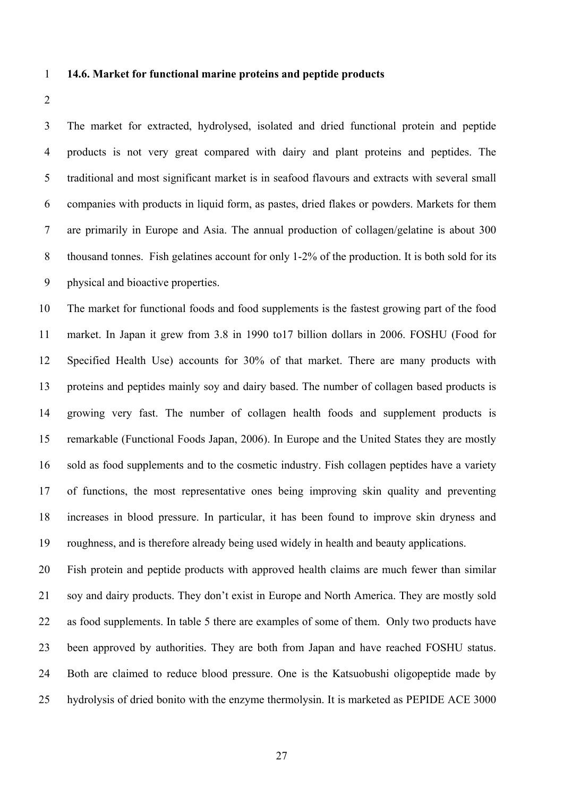# 1 **14.6. Market for functional marine proteins and peptide products**

2

3 The market for extracted, hydrolysed, isolated and dried functional protein and peptide 4 products is not very great compared with dairy and plant proteins and peptides. The 5 traditional and most significant market is in seafood flavours and extracts with several small 6 companies with products in liquid form, as pastes, dried flakes or powders. Markets for them 7 are primarily in Europe and Asia. The annual production of collagen/gelatine is about 300 8 thousand tonnes. Fish gelatines account for only 1-2% of the production. It is both sold for its 9 physical and bioactive properties.

10 The market for functional foods and food supplements is the fastest growing part of the food 11 market. In Japan it grew from 3.8 in 1990 to17 billion dollars in 2006. FOSHU (Food for 12 Specified Health Use) accounts for 30% of that market. There are many products with 13 proteins and peptides mainly soy and dairy based. The number of collagen based products is 14 growing very fast. The number of collagen health foods and supplement products is 15 remarkable (Functional Foods Japan, 2006). In Europe and the United States they are mostly 16 sold as food supplements and to the cosmetic industry. Fish collagen peptides have a variety 17 of functions, the most representative ones being improving skin quality and preventing 18 increases in blood pressure. In particular, it has been found to improve skin dryness and 19 roughness, and is therefore already being used widely in health and beauty applications.

20 Fish protein and peptide products with approved health claims are much fewer than similar 21 soy and dairy products. They don't exist in Europe and North America. They are mostly sold 22 as food supplements. In table 5 there are examples of some of them. Only two products have 23 been approved by authorities. They are both from Japan and have reached FOSHU status. 24 Both are claimed to reduce blood pressure. One is the Katsuobushi oligopeptide made by 25 hydrolysis of dried bonito with the enzyme thermolysin. It is marketed as PEPIDE ACE 3000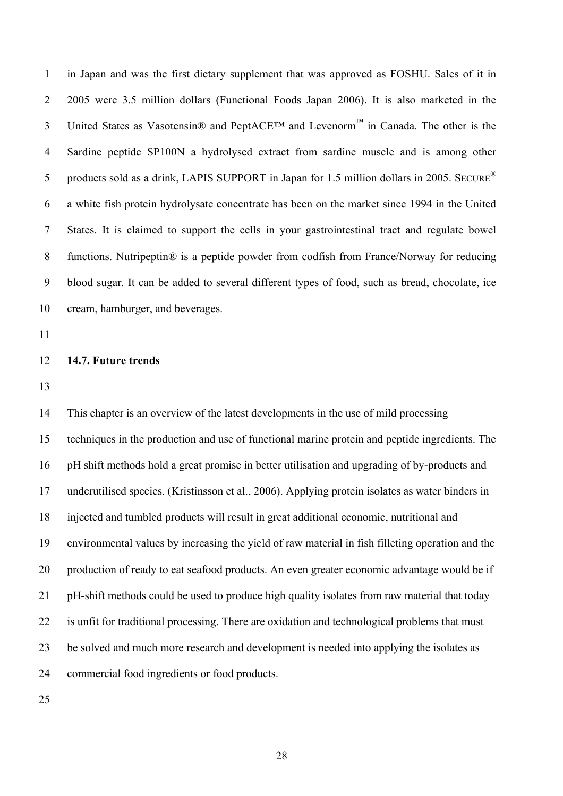1 in Japan and was the first dietary supplement that was approved as FOSHU. Sales of it in 2 2005 were 3.5 million dollars (Functional Foods Japan 2006). It is also marketed in the 3 United States as Vasotensin<sup>®</sup> and PeptACE<sup>TM</sup> and Levenorm<sup>™</sup> in Canada. The other is the 4 Sardine peptide SP100N a hydrolysed extract from sardine muscle and is among other 5 products sold as a drink, LAPIS SUPPORT in Japan for 1.5 million dollars in 2005. SECURE<sup>®</sup> 6 a white fish protein hydrolysate concentrate has been on the market since 1994 in the United 7 States. It is claimed to support the cells in your gastrointestinal tract and regulate bowel 8 functions. Nutripeptin® is a peptide powder from codfish from France/Norway for reducing 9 blood sugar. It can be added to several different types of food, such as bread, chocolate, ice 10 cream, hamburger, and beverages.

11

# 12 **14.7. Future trends**

13

14 This chapter is an overview of the latest developments in the use of mild processing 15 techniques in the production and use of functional marine protein and peptide ingredients. The 16 pH shift methods hold a great promise in better utilisation and upgrading of by-products and 17 underutilised species. (Kristinsson et al., 2006). Applying protein isolates as water binders in 18 injected and tumbled products will result in great additional economic, nutritional and 19 environmental values by increasing the yield of raw material in fish filleting operation and the 20 production of ready to eat seafood products. An even greater economic advantage would be if 21 pH-shift methods could be used to produce high quality isolates from raw material that today 22 is unfit for traditional processing. There are oxidation and technological problems that must 23 be solved and much more research and development is needed into applying the isolates as 24 commercial food ingredients or food products.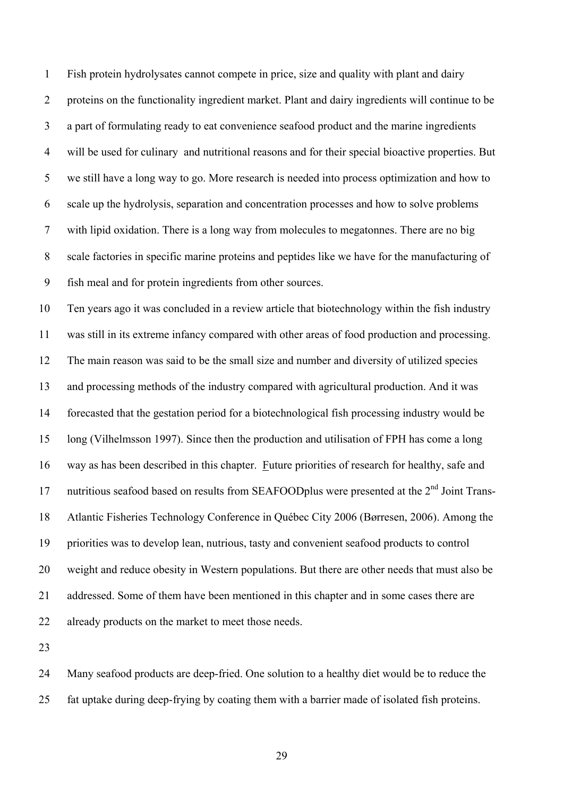1 Fish protein hydrolysates cannot compete in price, size and quality with plant and dairy 2 proteins on the functionality ingredient market. Plant and dairy ingredients will continue to be 3 a part of formulating ready to eat convenience seafood product and the marine ingredients 4 will be used for culinary and nutritional reasons and for their special bioactive properties. But 5 we still have a long way to go. More research is needed into process optimization and how to 6 scale up the hydrolysis, separation and concentration processes and how to solve problems 7 with lipid oxidation. There is a long way from molecules to megatonnes. There are no big 8 scale factories in specific marine proteins and peptides like we have for the manufacturing of 9 fish meal and for protein ingredients from other sources.

10 Ten years ago it was concluded in a review article that biotechnology within the fish industry 11 was still in its extreme infancy compared with other areas of food production and processing. 12 The main reason was said to be the small size and number and diversity of utilized species 13 and processing methods of the industry compared with agricultural production. And it was 14 forecasted that the gestation period for a biotechnological fish processing industry would be 15 long (Vilhelmsson 1997). Since then the production and utilisation of FPH has come a long 16 way as has been described in this chapter. Future priorities of research for healthy, safe and 17 nutritious seafood based on results from SEAFOODplus were presented at the  $2<sup>nd</sup>$  Joint Trans-18 Atlantic Fisheries Technology Conference in Québec City 2006 (Børresen, 2006). Among the 19 priorities was to develop lean, nutrious, tasty and convenient seafood products to control 20 weight and reduce obesity in Western populations. But there are other needs that must also be 21 addressed. Some of them have been mentioned in this chapter and in some cases there are 22 already products on the market to meet those needs.

23

24 Many seafood products are deep-fried. One solution to a healthy diet would be to reduce the 25 fat uptake during deep-frying by coating them with a barrier made of isolated fish proteins.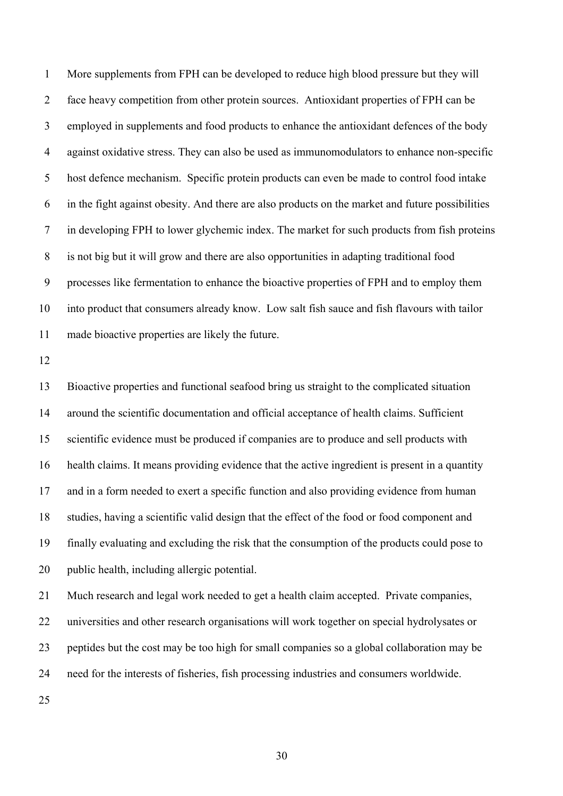1 More supplements from FPH can be developed to reduce high blood pressure but they will 2 face heavy competition from other protein sources. Antioxidant properties of FPH can be 3 employed in supplements and food products to enhance the antioxidant defences of the body 4 against oxidative stress. They can also be used as immunomodulators to enhance non-specific 5 host defence mechanism. Specific protein products can even be made to control food intake 6 in the fight against obesity. And there are also products on the market and future possibilities 7 in developing FPH to lower glychemic index. The market for such products from fish proteins 8 is not big but it will grow and there are also opportunities in adapting traditional food 9 processes like fermentation to enhance the bioactive properties of FPH and to employ them 10 into product that consumers already know. Low salt fish sauce and fish flavours with tailor 11 made bioactive properties are likely the future.

12

13 Bioactive properties and functional seafood bring us straight to the complicated situation 14 around the scientific documentation and official acceptance of health claims. Sufficient 15 scientific evidence must be produced if companies are to produce and sell products with 16 health claims. It means providing evidence that the active ingredient is present in a quantity 17 and in a form needed to exert a specific function and also providing evidence from human 18 studies, having a scientific valid design that the effect of the food or food component and 19 finally evaluating and excluding the risk that the consumption of the products could pose to 20 public health, including allergic potential.

21 Much research and legal work needed to get a health claim accepted. Private companies, 22 universities and other research organisations will work together on special hydrolysates or 23 peptides but the cost may be too high for small companies so a global collaboration may be 24 need for the interests of fisheries, fish processing industries and consumers worldwide.

25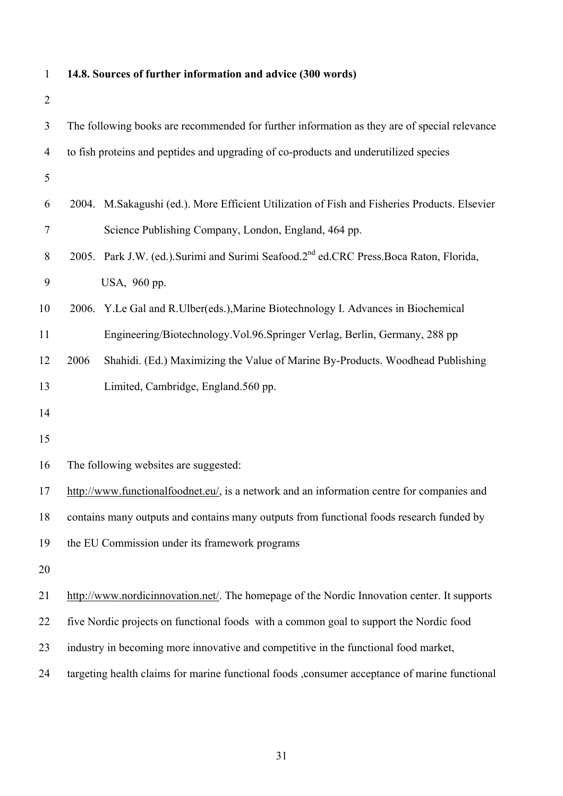1 **14.8. Sources of further information and advice (300 words)** 2 3 The following books are recommended for further information as they are of special relevance 4 to fish proteins and peptides and upgrading of co-products and underutilized species 5 6 2004. M.Sakagushi (ed.). More Efficient Utilization of Fish and Fisheries Products. Elsevier 7 Science Publishing Company, London, England, 464 pp. 8 2005. Park J.W. (ed.).Surimi and Surimi Seafood.2<sup>nd</sup> ed.CRC Press.Boca Raton, Florida, 9 USA, 960 pp. 10 2006. Y.Le Gal and R.Ulber(eds.),Marine Biotechnology I. Advances in Biochemical 11 Engineering/Biotechnology.Vol.96.Springer Verlag, Berlin, Germany, 288 pp 12 2006 Shahidi. (Ed.) Maximizing the Value of Marine By-Products. Woodhead Publishing 13 Limited, Cambridge, England.560 pp. 14 15 16 The following websites are suggested: 17 http://www.functionalfoodnet.eu/, is a network and an information centre for companies and 18 contains many outputs and contains many outputs from functional foods research funded by 19 the EU Commission under its framework programs 20 21 http://www.nordicinnovation.net/. The homepage of the Nordic Innovation center. It supports 22 five Nordic projects on functional foods with a common goal to support the Nordic food 23 industry in becoming more innovative and competitive in the functional food market, 24 targeting health claims for marine functional foods ,consumer acceptance of marine functional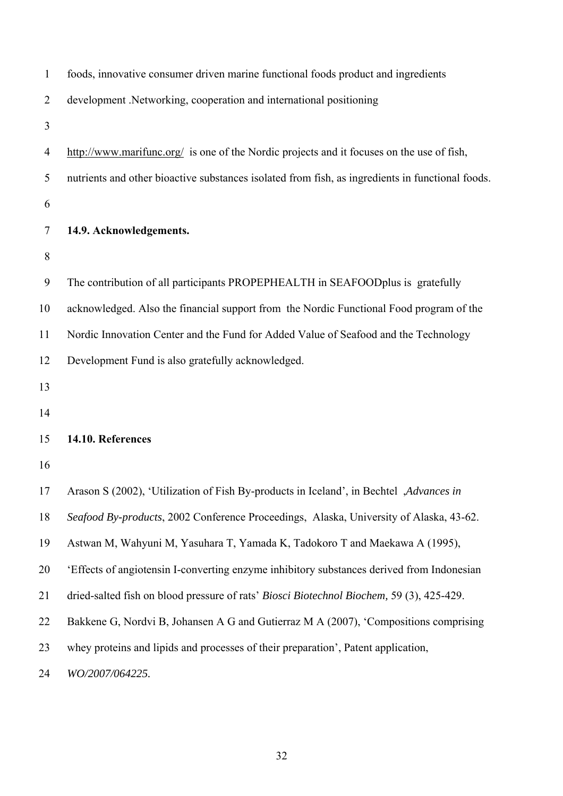| $\mathbf{1}$   | foods, innovative consumer driven marine functional foods product and ingredients                |
|----------------|--------------------------------------------------------------------------------------------------|
| $\overline{2}$ | development .Networking, cooperation and international positioning                               |
| 3              |                                                                                                  |
| 4              | http://www.marifunc.org/ is one of the Nordic projects and it focuses on the use of fish,        |
| 5              | nutrients and other bioactive substances isolated from fish, as ingredients in functional foods. |
| 6              |                                                                                                  |
| 7              | 14.9. Acknowledgements.                                                                          |
| 8              |                                                                                                  |
| 9              | The contribution of all participants PROPEPHEALTH in SEAFOODplus is gratefully                   |
| 10             | acknowledged. Also the financial support from the Nordic Functional Food program of the          |
| 11             | Nordic Innovation Center and the Fund for Added Value of Seafood and the Technology              |
| 12             | Development Fund is also gratefully acknowledged.                                                |
| 13             |                                                                                                  |
| 14             |                                                                                                  |
| 15             | 14.10. References                                                                                |
| 16             |                                                                                                  |
| 17             | Arason S (2002), 'Utilization of Fish By-products in Iceland', in Bechtel <i>Advances in</i>     |
| 18             | Seafood By-products, 2002 Conference Proceedings, Alaska, University of Alaska, 43-62.           |
| 19             | Astwan M, Wahyuni M, Yasuhara T, Yamada K, Tadokoro T and Maekawa A (1995),                      |
| 20             | 'Effects of angiotensin I-converting enzyme inhibitory substances derived from Indonesian        |
| 21             | dried-salted fish on blood pressure of rats' Biosci Biotechnol Biochem, 59 (3), 425-429.         |
| 22             | Bakkene G, Nordvi B, Johansen A G and Gutierraz M A (2007), 'Compositions comprising             |
| 23             | whey proteins and lipids and processes of their preparation', Patent application,                |
| 24             | WO/2007/064225.                                                                                  |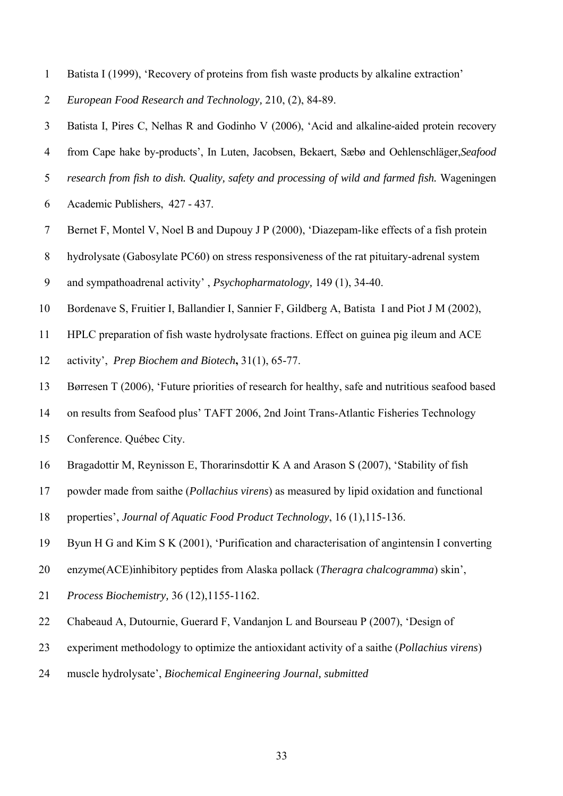- 1 Batista I (1999), 'Recovery of proteins from fish waste products by alkaline extraction'
- 2 *European Food Research and Technology,* 210, (2), 84-89.
- 3 Batista I, Pires C, Nelhas R and Godinho V (2006), 'Acid and alkaline-aided protein recovery
- 4 from Cape hake by-products', In Luten, Jacobsen, Bekaert, Sæbø and Oehlenschläger,*Seafood*
- 5 *research from fish to dish. Quality, safety and processing of wild and farmed fish.* Wageningen
- 6 Academic Publishers, 427 437.
- 7 Bernet F, Montel V, Noel B and Dupouy J P (2000), 'Diazepam-like effects of a fish protein
- 8 hydrolysate (Gabosylate PC60) on stress responsiveness of the rat pituitary-adrenal system
- 9 and sympathoadrenal activity' , *Psychopharmatology,* 149 (1), 34-40.
- 10 Bordenave S, Fruitier I, Ballandier I, Sannier F, Gildberg A, Batista I and Piot J M (2002),
- 11 HPLC preparation of fish waste hydrolysate fractions. Effect on guinea pig ileum and ACE
- 12 activity', *Prep Biochem and Biotech***,** 31(1), 65-77.
- 13 Børresen T (2006), 'Future priorities of research for healthy, safe and nutritious seafood based
- 14 on results from Seafood plus' TAFT 2006, 2nd Joint Trans-Atlantic Fisheries Technology
- 15 Conference. Québec City.
- 16 Bragadottir M, Reynisson E, Thorarinsdottir K A and Arason S (2007), 'Stability of fish
- 17 powder made from saithe (*Pollachius virens*) as measured by lipid oxidation and functional
- 18 properties', *Journal of Aquatic Food Product Technology*, 16 (1),115-136.
- 19 Byun H G and Kim S K (2001), 'Purification and characterisation of angintensin I converting
- 20 enzyme(ACE)inhibitory peptides from Alaska pollack (*Theragra chalcogramma*) skin',
- 21 *Process Biochemistry,* 36 (12),1155-1162.
- 22 Chabeaud A, Dutournie, Guerard F, Vandanjon L and Bourseau P (2007), 'Design of
- 23 experiment methodology to optimize the antioxidant activity of a saithe (*Pollachius virens*)
- 24 muscle hydrolysate', *Biochemical Engineering Journal, submitted*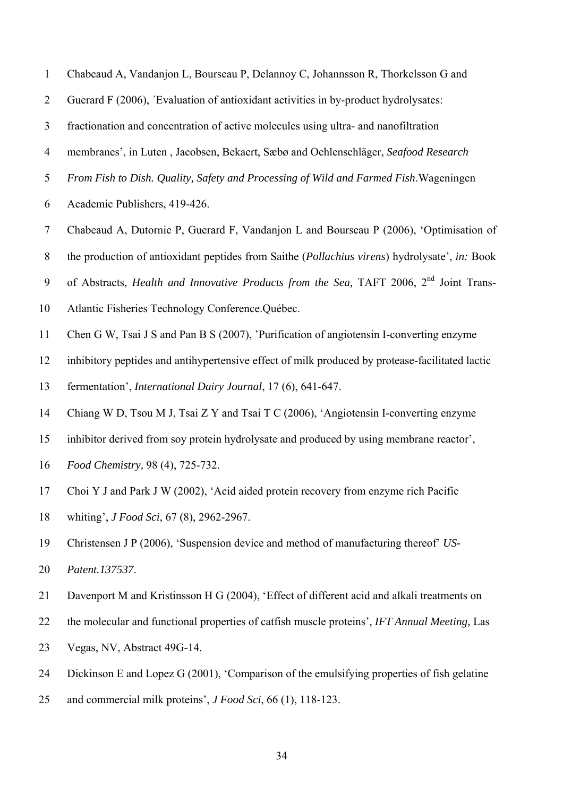- 1 Chabeaud A, Vandanjon L, Bourseau P, Delannoy C, Johannsson R, Thorkelsson G and
- 2 Guerard F (2006), ´Evaluation of antioxidant activities in by-product hydrolysates:
- 3 fractionation and concentration of active molecules using ultra- and nanofiltration
- 4 membranes', in Luten , Jacobsen, Bekaert, Sæbø and Oehlenschläger, *Seafood Research*
- 5 *From Fish to Dish. Quality, Safety and Processing of Wild and Farmed Fish*.Wageningen
- 6 Academic Publishers, 419-426.
- 7 Chabeaud A, Dutornie P, Guerard F, Vandanjon L and Bourseau P (2006), 'Optimisation of
- 8 the production of antioxidant peptides from Saithe (*Pollachius virens*) hydrolysate', *in:* Book
- 9 of Abstracts, *Health and Innovative Products from the Sea*, TAFT 2006, 2<sup>nd</sup> Joint Trans-
- 10 Atlantic Fisheries Technology Conference.Québec.
- 11 Chen G W, Tsai J S and Pan B S (2007), 'Purification of angiotensin I-converting enzyme
- 12 inhibitory peptides and antihypertensive effect of milk produced by protease-facilitated lactic
- 13 fermentation', *International Dairy Journal*, 17 (6), 641-647.
- 14 Chiang W D, Tsou M J, Tsai Z Y and Tsai T C (2006), 'Angiotensin I-converting enzyme
- 15 inhibitor derived from soy protein hydrolysate and produced by using membrane reactor',
- 16 *Food Chemistry,* 98 (4), 725-732.
- 17 Choi Y J and Park J W (2002), 'Acid aided protein recovery from enzyme rich Pacific
- 18 whiting', *J Food Sci*, 67 (8), 2962-2967.
- 19 Christensen J P (2006), 'Suspension device and method of manufacturing thereof' *US-*20 *Patent.137537*.
- 21 Davenport M and Kristinsson H G (2004), 'Effect of different acid and alkali treatments on
- 22 the molecular and functional properties of catfish muscle proteins', *IFT Annual Meeting,* Las
- 23 Vegas, NV, Abstract 49G-14.
- 24 Dickinson E and Lopez G (2001), 'Comparison of the emulsifying properties of fish gelatine
- 25 and commercial milk proteins', *J Food Sci*, 66 (1), 118-123.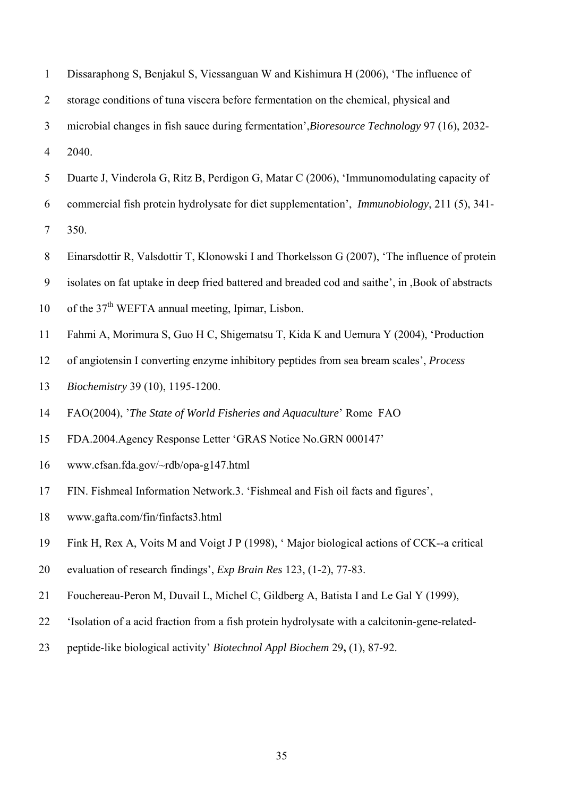| $\mathbf{1}$     | Dissaraphong S, Benjakul S, Viessanguan W and Kishimura H (2006), 'The influence of                 |
|------------------|-----------------------------------------------------------------------------------------------------|
| $\overline{2}$   | storage conditions of tuna viscera before fermentation on the chemical, physical and                |
| 3                | microbial changes in fish sauce during fermentation', Bioresource Technology 97 (16), 2032-         |
| $\overline{4}$   | 2040.                                                                                               |
| 5                | Duarte J, Vinderola G, Ritz B, Perdigon G, Matar C (2006), 'Immunomodulating capacity of            |
| 6                | commercial fish protein hydrolysate for diet supplementation', <i>Immunobiology</i> , 211 (5), 341- |
| $\tau$           | 350.                                                                                                |
| $8\,$            | Einarsdottir R, Valsdottir T, Klonowski I and Thorkelsson G (2007), 'The influence of protein       |
| $\boldsymbol{9}$ | isolates on fat uptake in deep fried battered and breaded cod and saithe', in , Book of abstracts   |
| 10               | of the 37 <sup>th</sup> WEFTA annual meeting, Ipimar, Lisbon.                                       |
| 11               | Fahmi A, Morimura S, Guo H C, Shigematsu T, Kida K and Uemura Y (2004), 'Production                 |
| 12               | of angiotensin I converting enzyme inhibitory peptides from sea bream scales', Process              |
| 13               | Biochemistry 39 (10), 1195-1200.                                                                    |
| 14               | FAO(2004), 'The State of World Fisheries and Aquaculture' Rome FAO                                  |
| 15               | FDA.2004. Agency Response Letter 'GRAS Notice No. GRN 000147'                                       |
| 16               | www.cfsan.fda.gov/~rdb/opa-g147.html                                                                |
| 17               | FIN. Fishmeal Information Network.3. 'Fishmeal and Fish oil facts and figures',                     |
| 18               | www.gafta.com/fin/finfacts3.html                                                                    |
| 19               | Fink H, Rex A, Voits M and Voigt J P (1998), 'Major biological actions of CCK--a critical           |
| 20               | evaluation of research findings', <i>Exp Brain Res</i> 123, (1-2), 77-83.                           |
| 21               | Fouchereau-Peron M, Duvail L, Michel C, Gildberg A, Batista I and Le Gal Y (1999),                  |
| 22               | 'Isolation of a acid fraction from a fish protein hydrolysate with a calcitonin-gene-related-       |
| 23               | peptide-like biological activity' Biotechnol Appl Biochem 29, (1), 87-92.                           |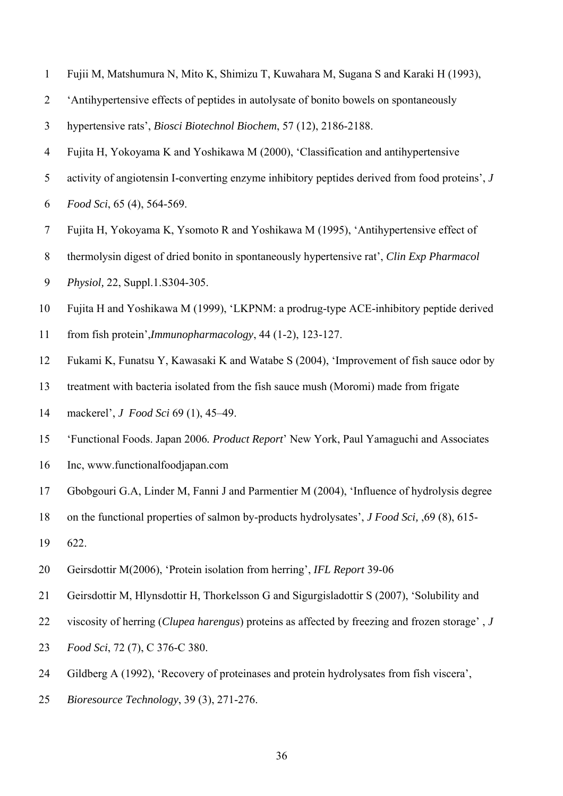- 1 Fujii M, Matshumura N, Mito K, Shimizu T, Kuwahara M, Sugana S and Karaki H (1993),
- 2 'Antihypertensive effects of peptides in autolysate of bonito bowels on spontaneously
- 3 hypertensive rats', *Biosci Biotechnol Biochem*, 57 (12), 2186-2188.
- 4 Fujita H, Yokoyama K and Yoshikawa M (2000), 'Classification and antihypertensive
- 5 activity of angiotensin I-converting enzyme inhibitory peptides derived from food proteins', *J*
- 6 *Food Sci*, 65 (4), 564-569.
- 7 Fujita H, Yokoyama K, Ysomoto R and Yoshikawa M (1995), 'Antihypertensive effect of
- 8 thermolysin digest of dried bonito in spontaneously hypertensive rat', *Clin Exp Pharmacol*
- 9 *Physiol,* 22, Suppl.1.S304-305.
- 10 Fujita H and Yoshikawa M (1999), 'LKPNM: a prodrug-type ACE-inhibitory peptide derived
- 11 from fish protein',*Immunopharmacology*, 44 (1-2), 123-127.
- 12 Fukami K, Funatsu Y, Kawasaki K and Watabe S (2004), 'Improvement of fish sauce odor by
- 13 treatment with bacteria isolated from the fish sauce mush (Moromi) made from frigate
- 14 mackerel', *J Food Sci* 69 (1), 45–49.
- 15 'Functional Foods. Japan 2006*. Product Report*' New York, Paul Yamaguchi and Associates
- 16 Inc, www.functionalfoodjapan.com
- 17 Gbobgouri G.A, Linder M, Fanni J and Parmentier M (2004), 'Influence of hydrolysis degree
- 18 on the functional properties of salmon by-products hydrolysates', *J Food Sci,* ,69 (8), 615-
- 19 622.
- 20 Geirsdottir M(2006), 'Protein isolation from herring', *IFL Report* 39-06
- 21 Geirsdottir M, Hlynsdottir H, Thorkelsson G and Sigurgisladottir S (2007), 'Solubility and
- 22 viscosity of herring (*Clupea harengus*) proteins as affected by freezing and frozen storage' , *J*
- 23 *Food Sci*, 72 (7), C 376-C 380.
- 24 Gildberg A (1992), 'Recovery of proteinases and protein hydrolysates from fish viscera',
- 25 *Bioresource Technology*, 39 (3), 271-276.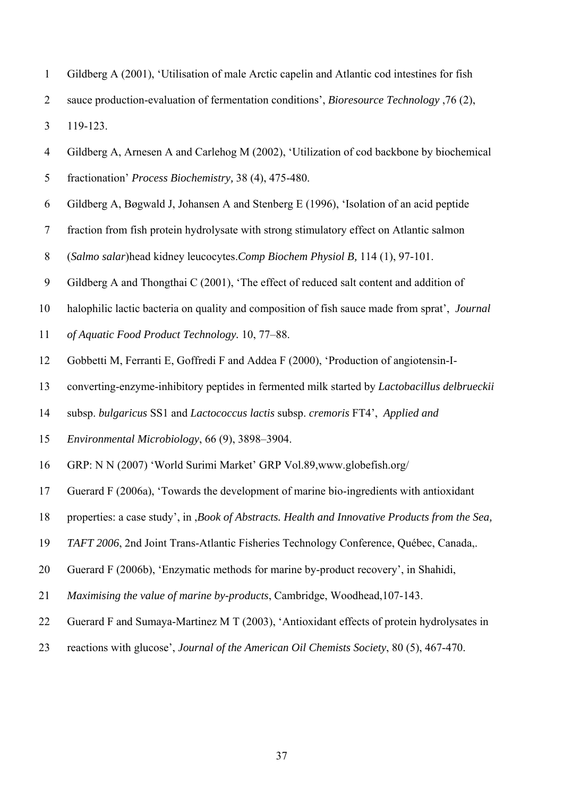- 1 Gildberg A (2001), 'Utilisation of male Arctic capelin and Atlantic cod intestines for fish
- 2 sauce production-evaluation of fermentation conditions', *Bioresource Technology* ,76 (2),

3 119-123.

- 4 Gildberg A, Arnesen A and Carlehog M (2002), 'Utilization of cod backbone by biochemical
- 5 fractionation' *Process Biochemistry,* 38 (4), 475-480.
- 6 Gildberg A, Bøgwald J, Johansen A and Stenberg E (1996), 'Isolation of an acid peptide
- 7 fraction from fish protein hydrolysate with strong stimulatory effect on Atlantic salmon
- 8 (*Salmo salar*)head kidney leucocytes.*Comp Biochem Physiol B,* 114 (1), 97-101.
- 9 Gildberg A and Thongthai C (2001), 'The effect of reduced salt content and addition of
- 10 halophilic lactic bacteria on quality and composition of fish sauce made from sprat', *Journal*
- 11 *of Aquatic Food Product Technology.* 10, 77–88.
- 12 Gobbetti M, Ferranti E, Goffredi F and Addea F (2000), 'Production of angiotensin-I-
- 13 converting-enzyme-inhibitory peptides in fermented milk started by *Lactobacillus delbrueckii*
- 14 subsp. *bulgaricus* SS1 and *Lactococcus lactis* subsp. *cremoris* FT4', *Applied and*
- 15 *Environmental Microbiology*, 66 (9), 3898–3904.
- 16 GRP: N N (2007) 'World Surimi Market' GRP Vol.89,www.globefish.org/
- 17 Guerard F (2006a), 'Towards the development of marine bio-ingredients with antioxidant
- 18 properties: a case study', in ,*Book of Abstracts. Health and Innovative Products from the Sea,*
- 19 *TAFT 2006*, 2nd Joint Trans-Atlantic Fisheries Technology Conference, Québec, Canada,.
- 20 Guerard F (2006b), 'Enzymatic methods for marine by-product recovery', in Shahidi,
- 21 *Maximising the value of marine by-products*, Cambridge, Woodhead,107-143.
- 22 Guerard F and Sumaya-Martinez M T (2003), 'Antioxidant effects of protein hydrolysates in
- 23 reactions with glucose', *Journal of the American Oil Chemists Society*, 80 (5), 467-470.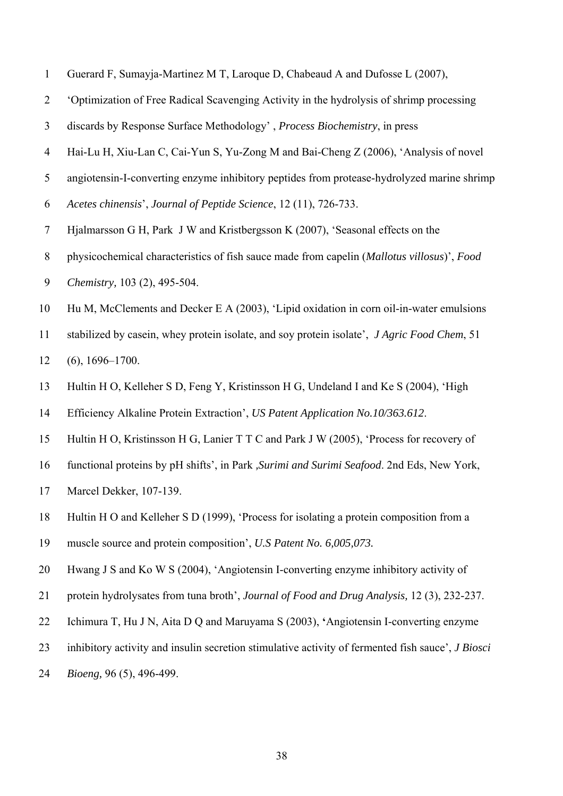- 1 Guerard F, Sumayja-Martinez M T, Laroque D, Chabeaud A and Dufosse L (2007),
- 2 'Optimization of Free Radical Scavenging Activity in the hydrolysis of shrimp processing
- 3 discards by Response Surface Methodology' , *Process Biochemistry*, in press
- 4 Hai-Lu H, Xiu-Lan C, Cai-Yun S, Yu-Zong M and Bai-Cheng Z (2006), 'Analysis of novel
- 5 angiotensin-I-converting enzyme inhibitory peptides from protease-hydrolyzed marine shrimp
- 6 *Acetes chinensis*', *Journal of Peptide Science*, 12 (11), 726-733.
- 7 Hjalmarsson G H, Park J W and Kristbergsson K (2007), 'Seasonal effects on the
- 8 physicochemical characteristics of fish sauce made from capelin (*Mallotus villosus*)', *Food*
- 9 *Chemistry,* 103 (2), 495-504.
- 10 Hu M, McClements and Decker E A (2003), 'Lipid oxidation in corn oil-in-water emulsions
- 11 stabilized by casein, whey protein isolate, and soy protein isolate', *J Agric Food Chem*, 51

12 (6), 1696–1700.

- 13 Hultin H O, Kelleher S D, Feng Y, Kristinsson H G, Undeland I and Ke S (2004), 'High
- 14 Efficiency Alkaline Protein Extraction', *US Patent Application No.10/363.612*.
- 15 Hultin H O, Kristinsson H G, Lanier T T C and Park J W (2005), 'Process for recovery of
- 16 functional proteins by pH shifts', in Park *,Surimi and Surimi Seafood*. 2nd Eds, New York,
- 17 Marcel Dekker, 107-139.
- 18 Hultin H O and Kelleher S D (1999), 'Process for isolating a protein composition from a
- 19 muscle source and protein composition', *U.S Patent No. 6,005,073.*
- 20 Hwang J S and Ko W S (2004), 'Angiotensin I-converting enzyme inhibitory activity of
- 21 protein hydrolysates from tuna broth', *Journal of Food and Drug Analysis,* 12 (3), 232-237.
- 22 Ichimura T, Hu J N, Aita D Q and Maruyama S (2003), **'**Angiotensin I-converting enzyme
- 23 inhibitory activity and insulin secretion stimulative activity of fermented fish sauce', *J Biosci*
- 24 *Bioeng,* 96 (5), 496-499.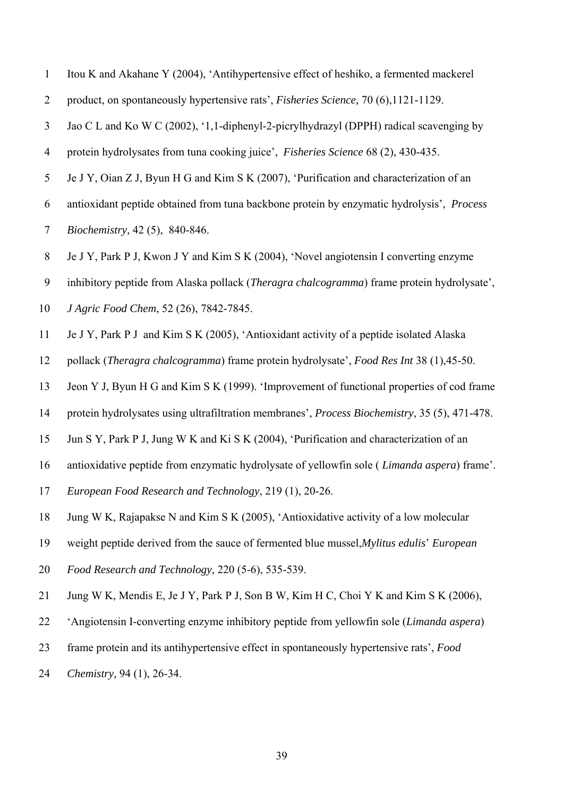| $\overline{2}$ | product, on spontaneously hypertensive rats', <i>Fisheries Science</i> , 70 (6), 1121-1129.         |
|----------------|-----------------------------------------------------------------------------------------------------|
| $\mathfrak{Z}$ | Jao C L and Ko W C (2002), '1,1-diphenyl-2-picrylhydrazyl (DPPH) radical scavenging by              |
| $\overline{4}$ | protein hydrolysates from tuna cooking juice', Fisheries Science 68 (2), 430-435.                   |
| 5              | Je J Y, Oian Z J, Byun H G and Kim S K (2007), 'Purification and characterization of an             |
| 6              | antioxidant peptide obtained from tuna backbone protein by enzymatic hydrolysis', Process           |
| $\overline{7}$ | Biochemistry, 42(5), 840-846.                                                                       |
| $\,8\,$        | Je J Y, Park P J, Kwon J Y and Kim S K (2004), 'Novel angiotensin I converting enzyme               |
| 9              | inhibitory peptide from Alaska pollack ( <i>Theragra chalcogramma</i> ) frame protein hydrolysate', |
| 10             | J Agric Food Chem, 52 (26), 7842-7845.                                                              |
| 11             | Je J Y, Park P J and Kim S K (2005), 'Antioxidant activity of a peptide isolated Alaska             |
| 12             | pollack (Theragra chalcogramma) frame protein hydrolysate', Food Res Int 38 (1),45-50.              |
| 13             | Jeon Y J, Byun H G and Kim S K (1999). 'Improvement of functional properties of cod frame           |
| 14             | protein hydrolysates using ultrafiltration membranes', Process Biochemistry, 35 (5), 471-478.       |
| 15             | Jun S Y, Park P J, Jung W K and Ki S K (2004), 'Purification and characterization of an             |
| 16             | antioxidative peptide from enzymatic hydrolysate of yellowfin sole (Limanda aspera) frame'.         |
| 17             | European Food Research and Technology, 219 (1), 20-26.                                              |
| 18             | Jung W K, Rajapakse N and Kim S K (2005), 'Antioxidative activity of a low molecular                |
| 19             | weight peptide derived from the sauce of fermented blue mussel, Mylitus edulis' European            |
| 20             | Food Research and Technology, 220 (5-6), 535-539.                                                   |
| 21             | Jung W K, Mendis E, Je J Y, Park P J, Son B W, Kim H C, Choi Y K and Kim S K (2006),                |
| 22             | 'Angiotensin I-converting enzyme inhibitory peptide from yellowfin sole ( <i>Limanda aspera</i> )   |
| 23             | frame protein and its antihypertensive effect in spontaneously hypertensive rats', Food             |
| 24             | Chemistry, 94 (1), 26-34.                                                                           |

1 Itou K and Akahane Y (2004), 'Antihypertensive effect of heshiko, a fermented mackerel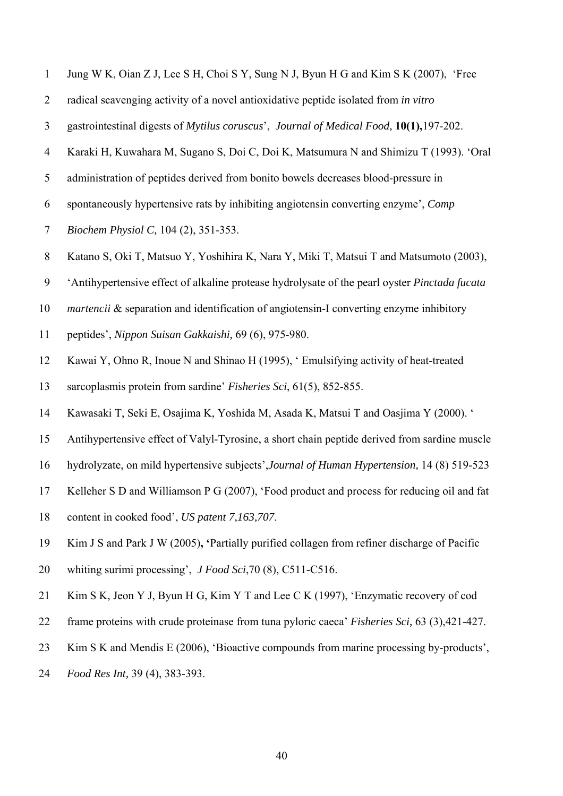|  |  | Jung W K, Oian Z J, Lee S H, Choi S Y, Sung N J, Byun H G and Kim S K (2007), 'Free |  |
|--|--|-------------------------------------------------------------------------------------|--|
|  |  |                                                                                     |  |

- 2 radical scavenging activity of a novel antioxidative peptide isolated from *in vitro*
- 3 gastrointestinal digests of *Mytilus coruscus*', *Journal of Medical Food,* **10(1),**197-202.
- 4 Karaki H, Kuwahara M, Sugano S, Doi C, Doi K, Matsumura N and Shimizu T (1993). 'Oral
- 5 administration of peptides derived from bonito bowels decreases blood-pressure in
- 6 spontaneously hypertensive rats by inhibiting angiotensin converting enzyme', *Comp*
- 7 *Biochem Physiol C,* 104 (2), 351-353.
- 8 Katano S, Oki T, Matsuo Y, Yoshihira K, Nara Y, Miki T, Matsui T and Matsumoto (2003),
- 9 'Antihypertensive effect of alkaline protease hydrolysate of the pearl oyster *Pinctada fucata*
- 10 *martencii* & separation and identification of angiotensin-I converting enzyme inhibitory
- 11 peptides', *Nippon Suisan Gakkaishi,* 69 (6), 975-980.
- 12 Kawai Y, Ohno R, Inoue N and Shinao H (1995), ' Emulsifying activity of heat-treated
- 13 sarcoplasmis protein from sardine' *Fisheries Sci*, 61(5), 852-855.
- 14 Kawasaki T, Seki E, Osajima K, Yoshida M, Asada K, Matsui T and Oasjima Y (2000). '
- 15 Antihypertensive effect of Valyl-Tyrosine, a short chain peptide derived from sardine muscle
- 16 hydrolyzate, on mild hypertensive subjects',*Journal of Human Hypertension,* 14 (8) 519-523
- 17 Kelleher S D and Williamson P G (2007), 'Food product and process for reducing oil and fat
- 18 content in cooked food', *US patent 7,163,707*.
- 19 Kim J S and Park J W (2005)**, '**Partially purified collagen from refiner discharge of Pacific
- 20 whiting surimi processing', *J Food Sci*,70 (8), C511-C516.
- 21 Kim S K, Jeon Y J, Byun H G, Kim Y T and Lee C K (1997), 'Enzymatic recovery of cod
- 22 frame proteins with crude proteinase from tuna pyloric caeca' *Fisheries Sci,* 63 (3),421-427.
- 23 Kim S K and Mendis E (2006), 'Bioactive compounds from marine processing by-products',
- 24 *Food Res Int,* 39 (4), 383-393.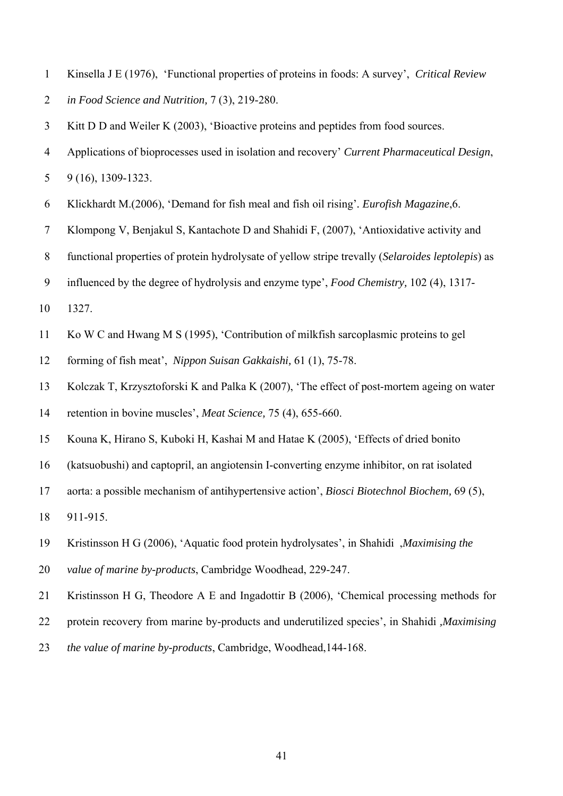- 1 Kinsella J E (1976), 'Functional properties of proteins in foods: A survey', *Critical Review*
- 2 *in Food Science and Nutrition,* 7 (3), 219-280.

3 Kitt D D and Weiler K (2003), 'Bioactive proteins and peptides from food sources.

- 4 Applications of bioprocesses used in isolation and recovery' *Current Pharmaceutical Design*,
- 5 9 (16), 1309-1323.
- 6 Klickhardt M.(2006), 'Demand for fish meal and fish oil rising'*. Eurofish Magazine*,6.
- 7 Klompong V, Benjakul S, Kantachote D and Shahidi F, (2007), 'Antioxidative activity and
- 8 functional properties of protein hydrolysate of yellow stripe trevally (*Selaroides leptolepis*) as
- 9 influenced by the degree of hydrolysis and enzyme type', *Food Chemistry,* 102 (4), 1317-
- 10 1327.
- 11 Ko W C and Hwang M S (1995), 'Contribution of milkfish sarcoplasmic proteins to gel
- 12 forming of fish meat', *Nippon Suisan Gakkaishi,* 61 (1), 75-78.
- 13 Kolczak T, Krzysztoforski K and Palka K (2007), 'The effect of post-mortem ageing on water
- 14 retention in bovine muscles', *Meat Science,* 75 (4), 655-660.
- 15 Kouna K, Hirano S, Kuboki H, Kashai M and Hatae K (2005), 'Effects of dried bonito
- 16 (katsuobushi) and captopril, an angiotensin I-converting enzyme inhibitor, on rat isolated
- 17 aorta: a possible mechanism of antihypertensive action', *Biosci Biotechnol Biochem,* 69 (5),
- 18 911-915.
- 19 Kristinsson H G (2006), 'Aquatic food protein hydrolysates', in Shahidi ,*Maximising the*
- 20 *value of marine by-products*, Cambridge Woodhead, 229-247.
- 21 Kristinsson H G, Theodore A E and Ingadottir B (2006), 'Chemical processing methods for
- 22 protein recovery from marine by-products and underutilized species', in Shahidi *,Maximising*
- 23 *the value of marine by-products*, Cambridge, Woodhead,144-168.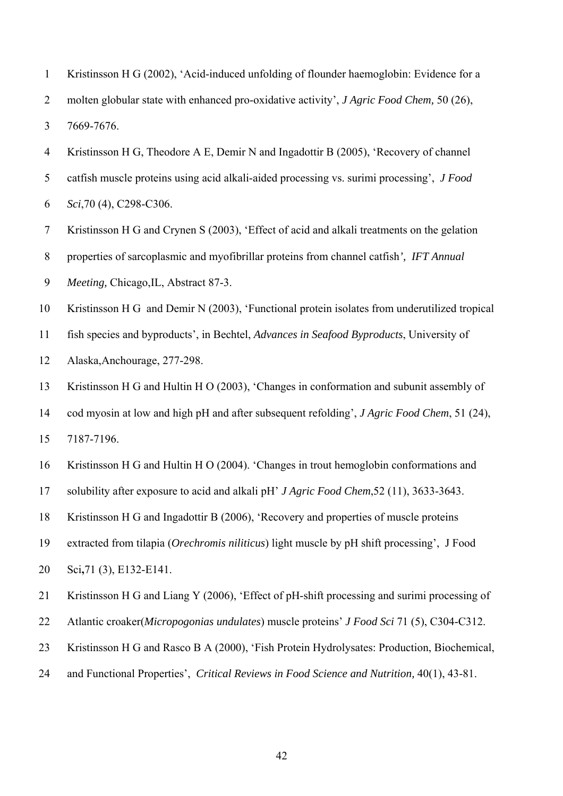|                | Kristinsson H G (2002), 'Acid-induced unfolding of flounder haemoglobin: Evidence for a          |
|----------------|--------------------------------------------------------------------------------------------------|
|                | molten globular state with enhanced pro-oxidative activity', <i>J Agric Food Chem</i> , 50 (26), |
| 3              | 7669-7676.                                                                                       |
| $\overline{4}$ | Kristinsson H G, Theodore A E, Demir N and Ingadottir B (2005), 'Recovery of channel             |

5 catfish muscle proteins using acid alkali-aided processing vs. surimi processing', *J Food*  6 *Sci*,70 (4), C298-C306.

7 Kristinsson H G and Crynen S (2003), 'Effect of acid and alkali treatments on the gelation

8 properties of sarcoplasmic and myofibrillar proteins from channel catfish*', IFT Annual* 

9 *Meeting,* Chicago,IL, Abstract 87-3.

10 Kristinsson H G and Demir N (2003), 'Functional protein isolates from underutilized tropical

11 fish species and byproducts', in Bechtel, *Advances in Seafood Byproducts*, University of

12 Alaska,Anchourage, 277-298.

13 Kristinsson H G and Hultin H O (2003), 'Changes in conformation and subunit assembly of

14 cod myosin at low and high pH and after subsequent refolding', *J Agric Food Chem*, 51 (24), 15 7187-7196.

16 Kristinsson H G and Hultin H O (2004). 'Changes in trout hemoglobin conformations and

17 solubility after exposure to acid and alkali pH' *J Agric Food Chem*,52 (11), 3633-3643.

18 Kristinsson H G and Ingadottir B (2006), 'Recovery and properties of muscle proteins

19 extracted from tilapia (*Orechromis niliticus*) light muscle by pH shift processing', J Food

20 Sci**,**71 (3), E132-E141.

21 Kristinsson H G and Liang Y (2006), 'Effect of pH-shift processing and surimi processing of

22 Atlantic croaker(*Micropogonias undulates*) muscle proteins' *J Food Sci* 71 (5), C304-C312.

23 Kristinsson H G and Rasco B A (2000), 'Fish Protein Hydrolysates: Production, Biochemical,

24 and Functional Properties', *Critical Reviews in Food Science and Nutrition,* 40(1), 43-81.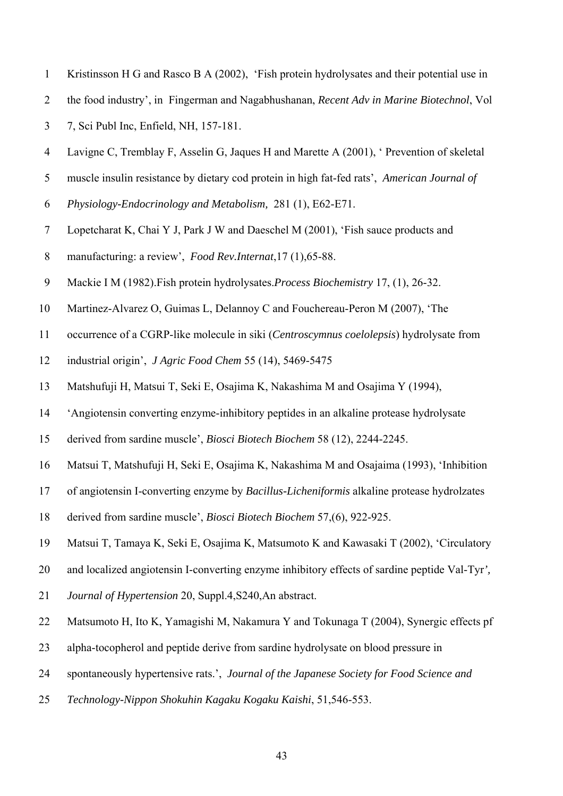- 1 Kristinsson H G and Rasco B A (2002), 'Fish protein hydrolysates and their potential use in
- 2 the food industry', inFingerman and Nagabhushanan, *Recent Adv in Marine Biotechnol*, Vol
- 3 7, Sci Publ Inc, Enfield, NH, 157-181.
- 4 Lavigne C, Tremblay F, Asselin G, Jaques H and Marette A (2001), ' Prevention of skeletal
- 5 muscle insulin resistance by dietary cod protein in high fat-fed rats', *American Journal of*
- 6 *Physiology-Endocrinology and Metabolism,* 281 (1), E62-E71.
- 7 Lopetcharat K, Chai Y J, Park J W and Daeschel M (2001), 'Fish sauce products and
- 8 manufacturing: a review', *Food Rev.Internat*,17 (1),65-88.
- 9 Mackie I M (1982).Fish protein hydrolysates.*Process Biochemistry* 17, (1), 26-32.
- 10 Martinez-Alvarez O, Guimas L, Delannoy C and Fouchereau-Peron M (2007), 'The
- 11 occurrence of a CGRP-like molecule in siki (*Centroscymnus coelolepsis*) hydrolysate from
- 12 industrial origin', *J Agric Food Chem* 55 (14), 5469-5475
- 13 Matshufuji H, Matsui T, Seki E, Osajima K, Nakashima M and Osajima Y (1994),
- 14 'Angiotensin converting enzyme-inhibitory peptides in an alkaline protease hydrolysate
- 15 derived from sardine muscle', *Biosci Biotech Biochem* 58 (12), 2244-2245.
- 16 Matsui T, Matshufuji H, Seki E, Osajima K, Nakashima M and Osajaima (1993), 'Inhibition
- 17 of angiotensin I-converting enzyme by *Bacillus-Licheniformis* alkaline protease hydrolzates
- 18 derived from sardine muscle', *Biosci Biotech Biochem* 57,(6), 922-925.
- 19 Matsui T, Tamaya K, Seki E, Osajima K, Matsumoto K and Kawasaki T (2002), 'Circulatory
- 20 and localized angiotensin I-converting enzyme inhibitory effects of sardine peptide Val-Tyr*',*
- 21 *Journal of Hypertension* 20, Suppl.4,S240,An abstract.
- 22 Matsumoto H, Ito K, Yamagishi M, Nakamura Y and Tokunaga T (2004), Synergic effects pf
- 23 alpha-tocopherol and peptide derive from sardine hydrolysate on blood pressure in
- 24 spontaneously hypertensive rats.', *Journal of the Japanese Society for Food Science and*
- 25 *Technology-Nippon Shokuhin Kagaku Kogaku Kaishi*, 51,546-553.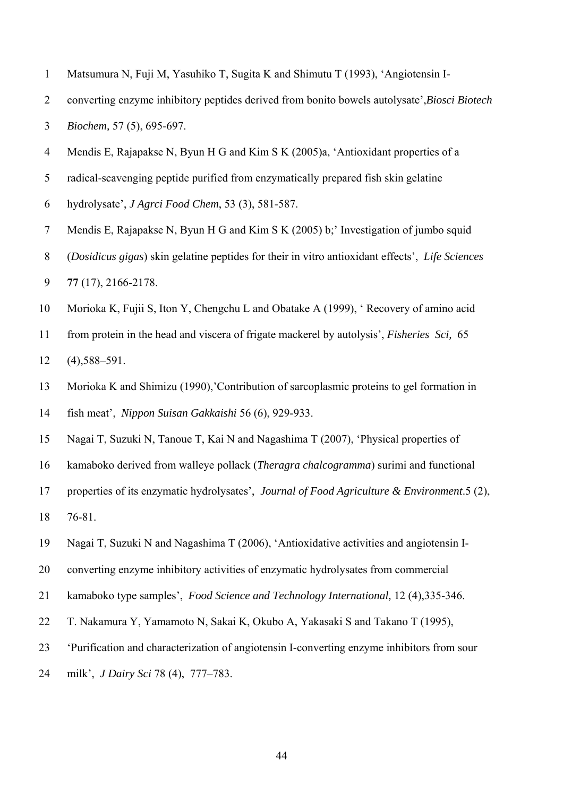- 1 Matsumura N, Fuji M, Yasuhiko T, Sugita K and Shimutu T (1993), 'Angiotensin I-
- 2 converting enzyme inhibitory peptides derived from bonito bowels autolysate',*Biosci Biotech*
- 3 *Biochem,* 57 (5), 695-697.
- 4 Mendis E, Rajapakse N, Byun H G and Kim S K (2005)a, 'Antioxidant properties of a
- 5 radical-scavenging peptide purified from enzymatically prepared fish skin gelatine
- 6 hydrolysate', *J Agrci Food Chem*, 53 (3), 581-587.
- 7 Mendis E, Rajapakse N, Byun H G and Kim S K (2005) b;' Investigation of jumbo squid
- 8 (*Dosidicus gigas*) skin gelatine peptides for their in vitro antioxidant effects', *Life Sciences* 9 **77** (17), 2166-2178.
- 10 Morioka K, Fujii S, Iton Y, Chengchu L and Obatake A (1999), ' Recovery of amino acid
- 11 from protein in the head and viscera of frigate mackerel by autolysis', *Fisheries Sci,* 65 12 (4),588–591.
- 13 Morioka K and Shimizu (1990),'Contribution of sarcoplasmic proteins to gel formation in 14 fish meat', *Nippon Suisan Gakkaishi* 56 (6), 929-933.
- 15 Nagai T, Suzuki N, Tanoue T, Kai N and Nagashima T (2007), 'Physical properties of
- 16 kamaboko derived from walleye pollack (*Theragra chalcogramma*) surimi and functional
- 17 properties of its enzymatic hydrolysates', *Journal of Food Agriculture & Environment*.5 (2),
- 18 76-81.
- 19 Nagai T, Suzuki N and Nagashima T (2006), 'Antioxidative activities and angiotensin I-
- 20 converting enzyme inhibitory activities of enzymatic hydrolysates from commercial
- 21 kamaboko type samples', *Food Science and Technology International,* 12 (4),335-346.
- 22 T. Nakamura Y, Yamamoto N, Sakai K, Okubo A, Yakasaki S and Takano T (1995),
- 23 'Purification and characterization of angiotensin I-converting enzyme inhibitors from sour
- 24 milk', *J Dairy Sci* 78 (4), 777–783.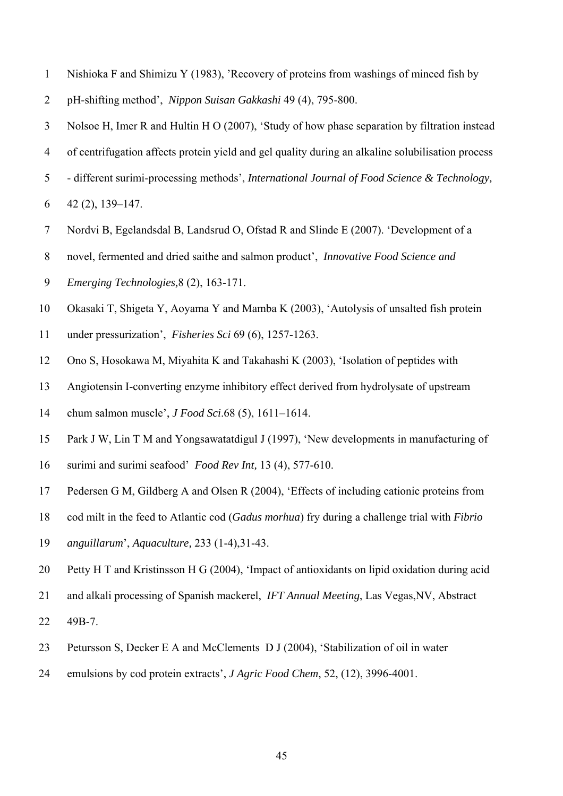- 1 Nishioka F and Shimizu Y (1983), 'Recovery of proteins from washings of minced fish by
- 2 pH-shifting method', *Nippon Suisan Gakkashi* 49 (4), 795-800.
- 3 Nolsoe H, Imer R and Hultin H O (2007), 'Study of how phase separation by filtration instead
- 4 of centrifugation affects protein yield and gel quality during an alkaline solubilisation process
- 5 different surimi-processing methods', *International Journal of Food Science & Technology,*
- 6 42 (2), 139–147.
- 7 Nordvi B, Egelandsdal B, Landsrud O, Ofstad R and Slinde E (2007). 'Development of a
- 8 novel, fermented and dried saithe and salmon product', *Innovative Food Science and*
- 9 *Emerging Technologies,*8 (2), 163-171.
- 10 Okasaki T, Shigeta Y, Aoyama Y and Mamba K (2003), 'Autolysis of unsalted fish protein
- 11 under pressurization', *Fisheries Sci* 69 (6), 1257-1263.
- 12 Ono S, Hosokawa M, Miyahita K and Takahashi K (2003), 'Isolation of peptides with
- 13 Angiotensin I-converting enzyme inhibitory effect derived from hydrolysate of upstream
- 14 chum salmon muscle', *J Food Sci*.68 (5), 1611–1614.
- 15 Park J W, Lin T M and Yongsawatatdigul J (1997), 'New developments in manufacturing of
- 16 surimi and surimi seafood' *Food Rev Int,* 13 (4), 577-610.
- 17 Pedersen G M, Gildberg A and Olsen R (2004), 'Effects of including cationic proteins from
- 18 cod milt in the feed to Atlantic cod (*Gadus morhua*) fry during a challenge trial with *Fibrio*
- 19 *anguillarum*', *Aquaculture,* 233 (1-4),31-43.
- 20 Petty H T and Kristinsson H G (2004), 'Impact of antioxidants on lipid oxidation during acid
- 21 and alkali processing of Spanish mackerel, *IFT Annual Meeting*, Las Vegas,NV, Abstract
- 22 49B-7.
- 23 Petursson S, Decker E A and McClements D J (2004), 'Stabilization of oil in water
- 24 emulsions by cod protein extracts', *J Agric Food Chem*, 52, (12), 3996-4001.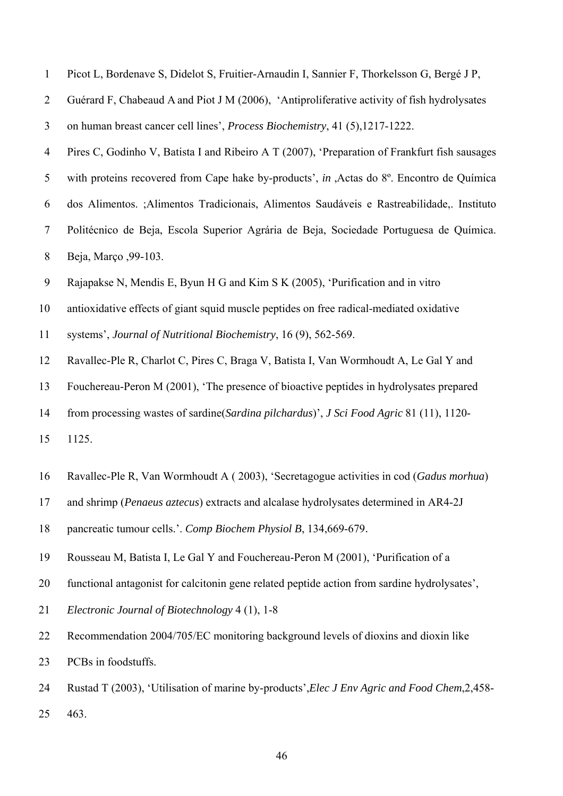| $\overline{2}$   | Guérard F, Chabeaud A and Piot J M (2006), 'Antiproliferative activity of fish hydrolysates   |
|------------------|-----------------------------------------------------------------------------------------------|
| 3                | on human breast cancer cell lines', Process Biochemistry, 41 (5), 1217-1222.                  |
| $\overline{4}$   | Pires C, Godinho V, Batista I and Ribeiro A T (2007), 'Preparation of Frankfurt fish sausages |
| 5                | with proteins recovered from Cape hake by-products', in ,Actas do 8°. Encontro de Química     |
| 6                | dos Alimentos. ;Alimentos Tradicionais, Alimentos Saudáveis e Rastreabilidade, Instituto      |
| $\overline{7}$   | Politécnico de Beja, Escola Superior Agrária de Beja, Sociedade Portuguesa de Química.        |
| $8\,$            | Beja, Março , 99-103.                                                                         |
| $\boldsymbol{9}$ | Rajapakse N, Mendis E, Byun H G and Kim S K (2005), 'Purification and in vitro                |
| 10               | antioxidative effects of giant squid muscle peptides on free radical-mediated oxidative       |
| 11               | systems', Journal of Nutritional Biochemistry, 16 (9), 562-569.                               |
| 12               | Ravallec-Ple R, Charlot C, Pires C, Braga V, Batista I, Van Wormhoudt A, Le Gal Y and         |
| 13               | Fouchereau-Peron M (2001), 'The presence of bioactive peptides in hydrolysates prepared       |
| 14               | from processing wastes of sardine(Sardina pilchardus)', J Sci Food Agric 81 (11), 1120-       |
| 15               | 1125.                                                                                         |
| 16               | Ravallec-Ple R, Van Wormhoudt A (2003), 'Secretagogue activities in cod (Gadus morhua)        |
| 17               | and shrimp (Penaeus aztecus) extracts and alcalase hydrolysates determined in AR4-2J          |
| 18               | pancreatic tumour cells.'. Comp Biochem Physiol B, 134,669-679.                               |
| 19               | Rousseau M, Batista I, Le Gal Y and Fouchereau-Peron M (2001), 'Purification of a             |
| 20               | functional antagonist for calcitonin gene related peptide action from sardine hydrolysates',  |
| 21               | Electronic Journal of Biotechnology 4 (1), 1-8                                                |

1 Picot L, Bordenave S, Didelot S, Fruitier-Arnaudin I, Sannier F, Thorkelsson G, Bergé J P,

- 22 Recommendation 2004/705/EC monitoring background levels of dioxins and dioxin like 23 PCBs in foodstuffs.
- 24 Rustad T (2003), 'Utilisation of marine by-products',*Elec J Env Agric and Food Chem*,2,458- 25 463.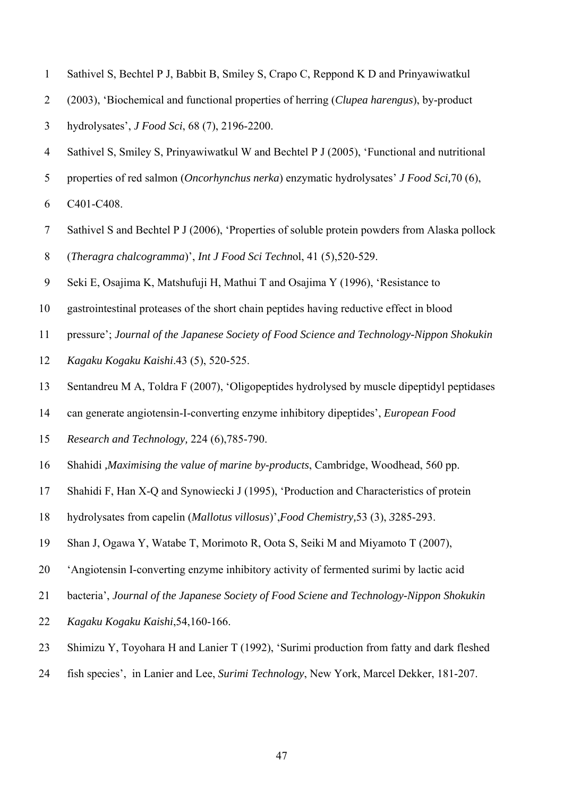- 1 Sathivel S, Bechtel P J, Babbit B, Smiley S, Crapo C, Reppond K D and Prinyawiwatkul
- 2 (2003), 'Biochemical and functional properties of herring (*Clupea harengus*), by-product
- 3 hydrolysates', *J Food Sci*, 68 (7), 2196-2200.
- 4 Sathivel S, Smiley S, Prinyawiwatkul W and Bechtel P J (2005), 'Functional and nutritional
- 5 properties of red salmon (*Oncorhynchus nerka*) enzymatic hydrolysates' *J Food Sci,*70 (6),

6 C401-C408.

- 7 Sathivel S and Bechtel P J (2006), 'Properties of soluble protein powders from Alaska pollock 8 (*Theragra chalcogramma*)', *Int J Food Sci Techn*ol, 41 (5),520-529.
- 9 Seki E, Osajima K, Matshufuji H, Mathui T and Osajima Y (1996), 'Resistance to
- 10 gastrointestinal proteases of the short chain peptides having reductive effect in blood
- 11 pressure'; *Journal of the Japanese Society of Food Science and Technology-Nippon Shokukin*
- 12 *Kagaku Kogaku Kaishi*.43 (5), 520-525.
- 13 Sentandreu M A, Toldra F (2007), 'Oligopeptides hydrolysed by muscle dipeptidyl peptidases
- 14 can generate angiotensin-I-converting enzyme inhibitory dipeptides', *European Food*
- 15 *Research and Technology,* 224 (6),785-790.
- 16 Shahidi *,Maximising the value of marine by-products*, Cambridge, Woodhead, 560 pp.
- 17 Shahidi F, Han X-Q and Synowiecki J (1995), 'Production and Characteristics of protein
- 18 hydrolysates from capelin (*Mallotus villosus*)',*Food Chemistry,*53 (3), *3*285-293.
- 19 Shan J, Ogawa Y, Watabe T, Morimoto R, Oota S, Seiki M and Miyamoto T (2007),
- 20 'Angiotensin I-converting enzyme inhibitory activity of fermented surimi by lactic acid
- 21 bacteria', *Journal of the Japanese Society of Food Sciene and Technology-Nippon Shokukin*
- 22 *Kagaku Kogaku Kaishi*,54,160-166.
- 23 Shimizu Y, Toyohara H and Lanier T (1992), 'Surimi production from fatty and dark fleshed
- 24 fish species', in Lanier and Lee, *Surimi Technology*, New York, Marcel Dekker, 181-207.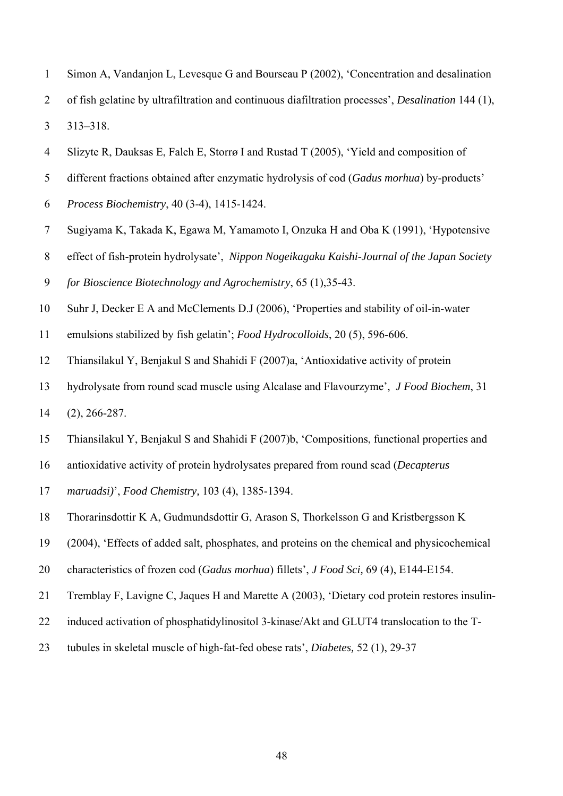- 1 Simon A, Vandanjon L, Levesque G and Bourseau P (2002), 'Concentration and desalination
- 2 of fish gelatine by ultrafiltration and continuous diafiltration processes', *Desalination* 144 (1), 3 313–318.
- 4 Slizyte R, Dauksas E, Falch E, Storrø I and Rustad T (2005), 'Yield and composition of
- 5 different fractions obtained after enzymatic hydrolysis of cod (*Gadus morhua*) by-products'
- 6 *Process Biochemistry*, 40 (3-4), 1415-1424.
- 7 Sugiyama K, Takada K, Egawa M, Yamamoto I, Onzuka H and Oba K (1991), 'Hypotensive
- 8 effect of fish-protein hydrolysate', *Nippon Nogeikagaku Kaishi-Journal of the Japan Society*

9 *for Bioscience Biotechnology and Agrochemistry*, 65 (1),35-43.

- 10 Suhr J, Decker E A and McClements D.J (2006), 'Properties and stability of oil-in-water
- 11 emulsions stabilized by fish gelatin'; *Food Hydrocolloids*, 20 (5), 596-606.
- 12 Thiansilakul Y, Benjakul S and Shahidi F (2007)a, 'Antioxidative activity of protein
- 13 hydrolysate from round scad muscle using Alcalase and Flavourzyme', *J Food Biochem*, 31
- 14 (2), 266-287.
- 15 Thiansilakul Y, Benjakul S and Shahidi F (2007)b, 'Compositions, functional properties and
- 16 antioxidative activity of protein hydrolysates prepared from round scad (*Decapterus*
- 17 *maruadsi)*', *Food Chemistry,* 103 (4), 1385-1394.
- 18 Thorarinsdottir K A, Gudmundsdottir G, Arason S, Thorkelsson G and Kristbergsson K
- 19 (2004), 'Effects of added salt, phosphates, and proteins on the chemical and physicochemical
- 20 characteristics of frozen cod (*Gadus morhua*) fillets', *J Food Sci,* 69 (4), E144-E154.
- 21 Tremblay F, Lavigne C, Jaques H and Marette A (2003), 'Dietary cod protein restores insulin-
- 22 induced activation of phosphatidylinositol 3-kinase/Akt and GLUT4 translocation to the T-
- 23 tubules in skeletal muscle of high-fat-fed obese rats', *Diabetes,* 52 (1), 29-37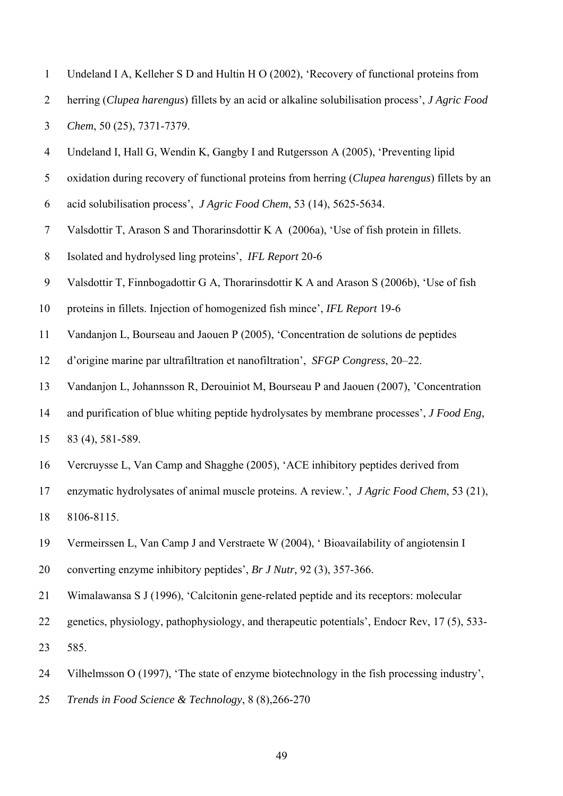|  | Undeland I A, Kelleher S D and Hultin H O (2002), 'Recovery of functional proteins from |  |  |
|--|-----------------------------------------------------------------------------------------|--|--|
|  |                                                                                         |  |  |

- 2 herring (*Clupea harengus*) fillets by an acid or alkaline solubilisation process', *J Agric Food*
- 3 *Chem*, 50 (25), 7371-7379.
- 4 Undeland I, Hall G, Wendin K, Gangby I and Rutgersson A (2005), 'Preventing lipid
- 5 oxidation during recovery of functional proteins from herring (*Clupea harengus*) fillets by an
- 6 acid solubilisation process', *J Agric Food Chem*, 53 (14), 5625-5634.
- 7 Valsdottir T, Arason S and Thorarinsdottir K A (2006a), 'Use of fish protein in fillets.
- 8 Isolated and hydrolysed ling proteins', *IFL Report* 20-6
- 9 Valsdottir T, Finnbogadottir G A, Thorarinsdottir K A and Arason S (2006b), 'Use of fish
- 10 proteins in fillets. Injection of homogenized fish mince', *IFL Report* 19-6
- 11 Vandanjon L, Bourseau and Jaouen P (2005), 'Concentration de solutions de peptides
- 12 d'origine marine par ultrafiltration et nanofiltration', *SFGP Congress*, 20–22.
- 13 Vandanjon L, Johannsson R, Derouiniot M, Bourseau P and Jaouen (2007), 'Concentration
- 14 and purification of blue whiting peptide hydrolysates by membrane processes', *J Food Eng*,

15 83 (4), 581-589.

- 16 Vercruysse L, Van Camp and Shagghe (2005), 'ACE inhibitory peptides derived from
- 17 enzymatic hydrolysates of animal muscle proteins. A review.', *J Agric Food Chem*, 53 (21),
- 18 8106-8115.
- 19 Vermeirssen L, Van Camp J and Verstraete W (2004), ' Bioavailability of angiotensin I
- 20 converting enzyme inhibitory peptides', *Br J Nutr,* 92 (3), 357-366.
- 21 Wimalawansa S J (1996), 'Calcitonin gene-related peptide and its receptors: molecular
- 22 genetics, physiology, pathophysiology, and therapeutic potentials', Endocr Rev, 17 (5), 533-

23 585.

- 24 Vilhelmsson O (1997), 'The state of enzyme biotechnology in the fish processing industry',
- 25 *Trends in Food Science & Technology*, 8 (8),266-270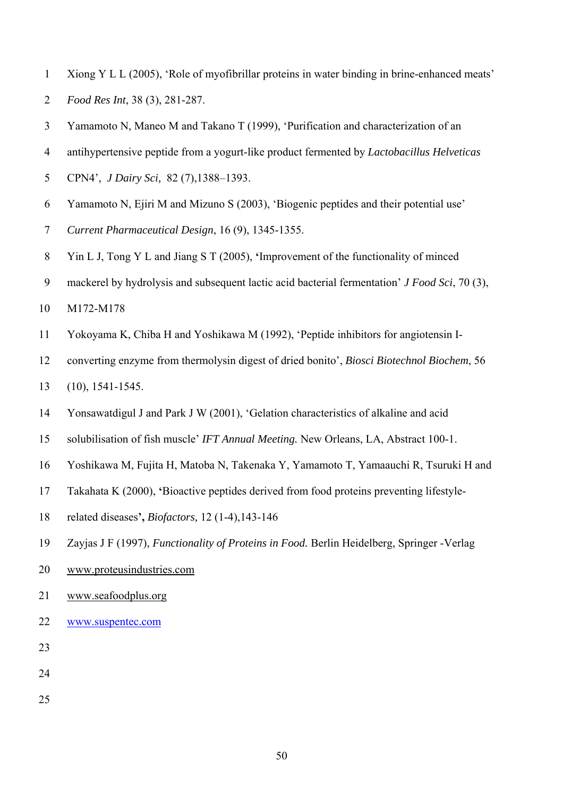- 1 Xiong Y L L (2005), 'Role of myofibrillar proteins in water binding in brine-enhanced meats' 2 *Food Res Int*, 38 (3), 281-287.
- 3 Yamamoto N, Maneo M and Takano T (1999), 'Purification and characterization of an
- 4 antihypertensive peptide from a yogurt-like product fermented by *Lactobacillus Helveticas*
- 5 CPN4', *J Dairy Sci,* 82 (7),1388–1393.
- 6 Yamamoto N, Ejiri M and Mizuno S (2003), 'Biogenic peptides and their potential use'
- 7 *Current Pharmaceutical Design*, 16 (9), 1345-1355.
- 8 Yin L J, Tong Y L and Jiang S T (2005), **'**Improvement of the functionality of minced
- 9 mackerel by hydrolysis and subsequent lactic acid bacterial fermentation' *J Food Sci*, 70 (3),
- 10 M172-M178
- 11 Yokoyama K, Chiba H and Yoshikawa M (1992), 'Peptide inhibitors for angiotensin I-
- 12 converting enzyme from thermolysin digest of dried bonito', *Biosci Biotechnol Biochem*, 56
- 13 (10), 1541-1545.
- 14 Yonsawatdigul J and Park J W (2001), 'Gelation characteristics of alkaline and acid
- 15 solubilisation of fish muscle' *IFT Annual Meeting.* New Orleans, LA, Abstract 100-1.
- 16 Yoshikawa M, Fujita H, Matoba N, Takenaka Y, Yamamoto T, Yamaauchi R, Tsuruki H and
- 17 Takahata K (2000), **'**Bioactive peptides derived from food proteins preventing lifestyle-
- 18 related diseases**',** *Biofactors,* 12 (1-4),143-146
- 19 Zayjas J F (1997), *Functionality of Proteins in Food.* Berlin Heidelberg, Springer -Verlag
- 20 www.proteusindustries.com
- 21 www.seafoodplus.org
- 22 www.suspentec.com
- 23
- 24
- 25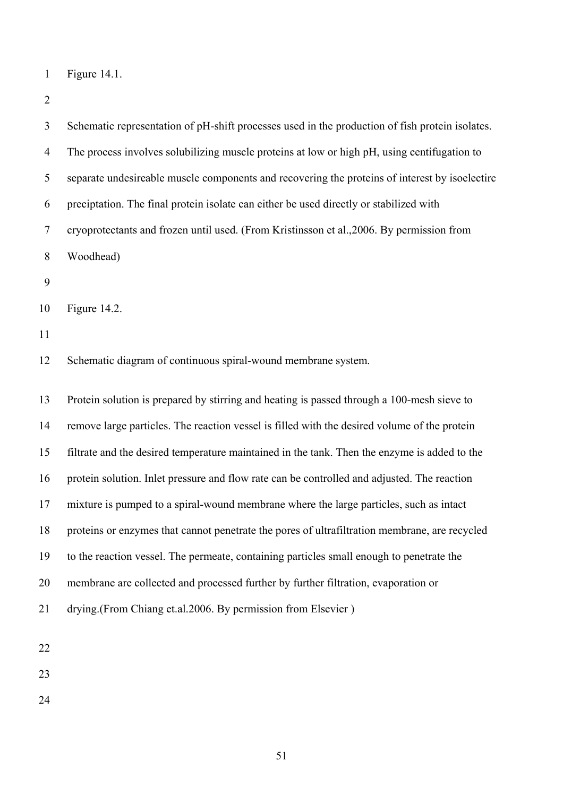```
1 Figure 14.1.
```
2

| 3              | Schematic representation of pH-shift processes used in the production of fish protein isolates. |
|----------------|-------------------------------------------------------------------------------------------------|
| $\overline{4}$ |                                                                                                 |
|                | The process involves solubilizing muscle proteins at low or high pH, using centifugation to     |
| 5              | separate undesireable muscle components and recovering the proteins of interest by isoelectirc  |
| 6              | preciptation. The final protein isolate can either be used directly or stabilized with          |
| $\overline{7}$ | cryoprotectants and frozen until used. (From Kristinsson et al., 2006. By permission from       |
| $8\phantom{.}$ | Woodhead)                                                                                       |
| 9              |                                                                                                 |
| 10             | Figure 14.2.                                                                                    |
| 11             |                                                                                                 |
| 12             | Schematic diagram of continuous spiral-wound membrane system.                                   |
| 13             | Protein solution is prepared by stirring and heating is passed through a 100-mesh sieve to      |
| 14             | remove large particles. The reaction vessel is filled with the desired volume of the protein    |
| 15             | filtrate and the desired temperature maintained in the tank. Then the enzyme is added to the    |
| 16             | protein solution. Inlet pressure and flow rate can be controlled and adjusted. The reaction     |
| 17             | mixture is pumped to a spiral-wound membrane where the large particles, such as intact          |
| 18             | proteins or enzymes that cannot penetrate the pores of ultrafiltration membrane, are recycled   |
| 19             | to the reaction vessel. The permeate, containing particles small enough to penetrate the        |
| 20             | membrane are collected and processed further by further filtration, evaporation or              |
| 21             | drying.(From Chiang et.al.2006. By permission from Elsevier)                                    |
|                |                                                                                                 |

22

23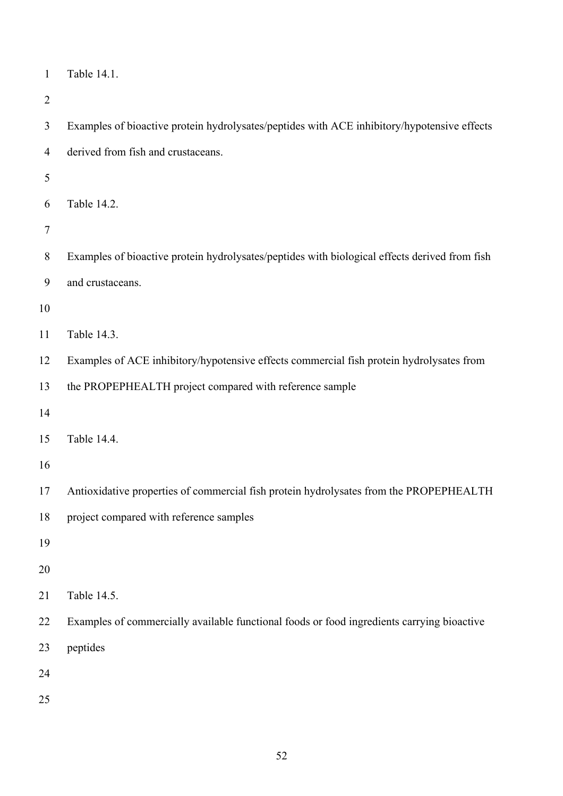| $\mathbf{1}$   | Table 14.1.                                                                                   |
|----------------|-----------------------------------------------------------------------------------------------|
| $\overline{2}$ |                                                                                               |
| 3              | Examples of bioactive protein hydrolysates/peptides with ACE inhibitory/hypotensive effects   |
| $\overline{4}$ | derived from fish and crustaceans.                                                            |
| 5              |                                                                                               |
| 6              | Table 14.2.                                                                                   |
| 7              |                                                                                               |
| 8              | Examples of bioactive protein hydrolysates/peptides with biological effects derived from fish |
| 9              | and crustaceans.                                                                              |
| 10             |                                                                                               |
| 11             | Table 14.3.                                                                                   |
| 12             | Examples of ACE inhibitory/hypotensive effects commercial fish protein hydrolysates from      |
| 13             | the PROPEPHEALTH project compared with reference sample                                       |
| 14             |                                                                                               |
| 15             | Table 14.4.                                                                                   |
| 16             |                                                                                               |
| 17             | Antioxidative properties of commercial fish protein hydrolysates from the PROPEPHEALTH        |
| 18             | project compared with reference samples                                                       |
| 19             |                                                                                               |
| 20             |                                                                                               |
| 21             | Table 14.5.                                                                                   |
| 22             | Examples of commercially available functional foods or food ingredients carrying bioactive    |
| 23             | peptides                                                                                      |
| 24             |                                                                                               |
| 25             |                                                                                               |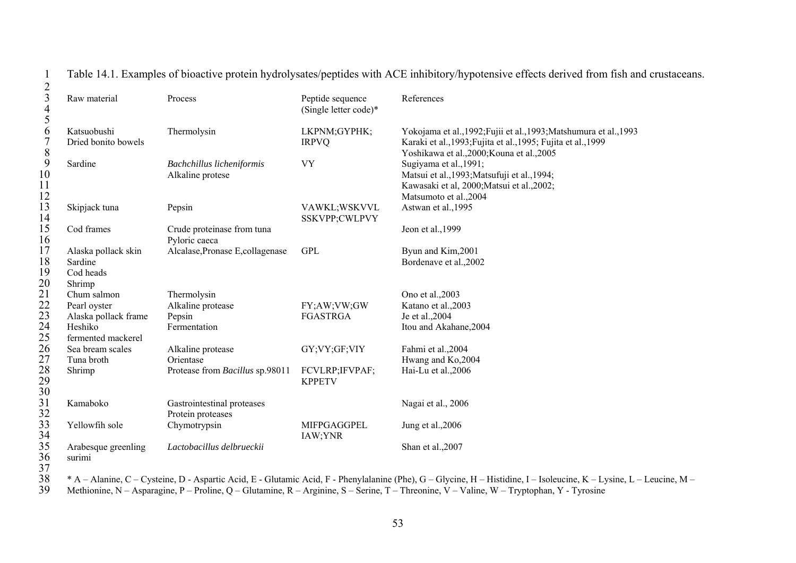1 Table 14.1. Examples of bioactive protein hydrolysates/peptides with ACE inhibitory/hypotensive effects derived from fish and crustaceans.

| $\mathfrak{Z}$<br>$\overline{4}$<br>5 | Raw material                                          | Process                                         | Peptide sequence<br>(Single letter code)* | References                                                                                                                                                                        |
|---------------------------------------|-------------------------------------------------------|-------------------------------------------------|-------------------------------------------|-----------------------------------------------------------------------------------------------------------------------------------------------------------------------------------|
| 6<br>$\overline{7}$<br>8              | Katsuobushi<br>Dried bonito bowels                    | Thermolysin                                     | LKPNM;GYPHK;<br><b>IRPVQ</b>              | Yokojama et al., 1992; Fujii et al., 1993; Matshumura et al., 1993<br>Karaki et al., 1993; Fujita et al., 1995; Fujita et al., 1999<br>Yoshikawa et al., 2000; Kouna et al., 2005 |
| 9<br>10<br>11<br>$\frac{12}{13}$      | Sardine                                               | Bachchillus licheniformis<br>Alkaline protese   | <b>VY</b>                                 | Sugiyama et al., 1991;<br>Matsui et al., 1993; Matsufuji et al., 1994;<br>Kawasaki et al, 2000; Matsui et al., 2002;<br>Matsumoto et al., 2004                                    |
| 14                                    | Skipjack tuna                                         | Pepsin                                          | VAWKL;WSKVVL<br>SSKVPP;CWLPVY             | Astwan et al., 1995                                                                                                                                                               |
| 15<br>16                              | Cod frames                                            | Crude proteinase from tuna<br>Pyloric caeca     |                                           | Jeon et al., 1999                                                                                                                                                                 |
| 17<br>18<br>19<br>20                  | Alaska pollack skin<br>Sardine<br>Cod heads<br>Shrimp | Alcalase, Pronase E, collagenase                | <b>GPL</b>                                | Byun and Kim, 2001<br>Bordenave et al., 2002                                                                                                                                      |
| $\overline{21}$                       | Chum salmon                                           | Thermolysin                                     |                                           | Ono et al., 2003                                                                                                                                                                  |
|                                       | Pearl oyster                                          | Alkaline protease                               | FY;AW;VW;GW                               | Katano et al., 2003                                                                                                                                                               |
| 22<br>23                              | Alaska pollack frame                                  | Pepsin                                          | <b>FGASTRGA</b>                           | Je et al., 2004                                                                                                                                                                   |
| 24<br>25                              | Heshiko<br>fermented mackerel                         | Fermentation                                    |                                           | Itou and Akahane, 2004                                                                                                                                                            |
| 26<br>27                              | Sea bream scales<br>Tuna broth                        | Alkaline protease<br>Orientase                  | GY;VY;GF;VIY                              | Fahmi et al., 2004<br>Hwang and Ko,2004                                                                                                                                           |
| 28<br>29<br>30                        | Shrimp                                                | Protease from Bacillus sp.98011                 | FCVLRP; IFVPAF;<br><b>KPPETV</b>          | Hai-Lu et al., 2006                                                                                                                                                               |
| 31<br>32                              | Kamaboko                                              | Gastrointestinal proteases<br>Protein proteases |                                           | Nagai et al., 2006                                                                                                                                                                |
| 33<br>34                              | Yellowfih sole                                        | Chymotrypsin                                    | <b>MIFPGAGGPEL</b><br>IAW;YNR             | Jung et al., 2006                                                                                                                                                                 |
| 35<br>36<br>37                        | Arabesque greenling<br>surimi                         | Lactobacillus delbrueckii                       |                                           | Shan et al., 2007                                                                                                                                                                 |

 $\frac{38}{39}$ 38 \* A – Alanine, C – Cysteine, D - Aspartic Acid, E - Glutamic Acid, F - Phenylalanine (Phe), G – Glycine, H – Histidine, I – Isoleucine, K – Lysine, L – Leucine, M – 39 Methionine, N – Asparagine, P – Proline, Q – Glutamine, R – Arginine, S – Serine, T – Threonine, V – Valine, W – Tryptophan, Y - Tyrosine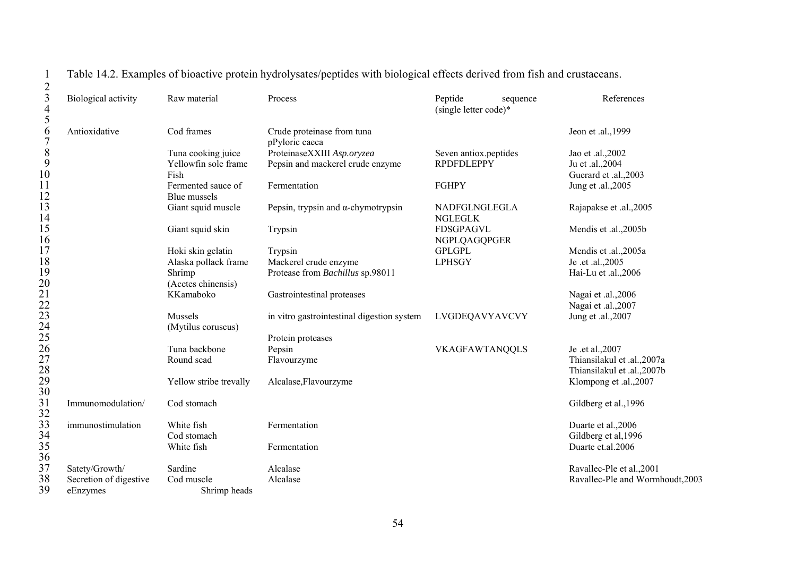| $\begin{array}{c} 2 \\ 3 \\ 4 \end{array}$    | Biological activity    | Raw material                       | Process                                      | Peptide<br>sequence<br>(single letter code)* | References                       |
|-----------------------------------------------|------------------------|------------------------------------|----------------------------------------------|----------------------------------------------|----------------------------------|
| 5<br>6<br>$\overline{7}$                      | Antioxidative          | Cod frames                         | Crude proteinase from tuna<br>pPyloric caeca |                                              | Jeon et .al., 1999               |
|                                               |                        | Tuna cooking juice                 | ProteinaseXXIII Asp.oryzea                   | Seven antiox peptides                        | Jao et .al., 2002                |
| $\begin{array}{c} 8 \\ 9 \end{array}$         |                        | Yellowfin sole frame               | Pepsin and mackerel crude enzyme             | <b>RPDFDLEPPY</b>                            | Ju et .al., 2004                 |
| 10                                            |                        | Fish                               |                                              |                                              | Guerard et .al., 2003            |
| 11<br>12                                      |                        | Fermented sauce of<br>Blue mussels | Fermentation                                 | <b>FGHPY</b>                                 | Jung et .al., 2005               |
| 13<br>14                                      |                        | Giant squid muscle                 | Pepsin, trypsin and $\alpha$ -chymotrypsin   | NADFGLNGLEGLA<br><b>NGLEGLK</b>              | Rajapakse et .al., 2005          |
| 15<br>16                                      |                        | Giant squid skin                   | Trypsin                                      | <b>FDSGPAGVL</b><br>NGPLQAGQPGER             | Mendis et .al., 2005b            |
| 17                                            |                        | Hoki skin gelatin                  | Trypsin                                      | <b>GPLGPL</b>                                | Mendis et .al.,2005a             |
| 18                                            |                        | Alaska pollack frame               | Mackerel crude enzyme                        | <b>LPHSGY</b>                                | Je .et .al., 2005                |
| 19<br>20                                      |                        | Shrimp<br>(Acetes chinensis)       | Protease from Bachillus sp.98011             |                                              | Hai-Lu et .al.,2006              |
|                                               |                        | KKamaboko                          | Gastrointestinal proteases                   |                                              | Nagai et .al., 2006              |
|                                               |                        |                                    |                                              |                                              | Nagai et .al., 2007              |
| 21<br>223<br>24<br>25<br>26<br>27<br>28<br>29 |                        | Mussels                            | in vitro gastrointestinal digestion system   | LVGDEQAVYAVCVY                               | Jung et .al., 2007               |
|                                               |                        | (Mytilus coruscus)                 |                                              |                                              |                                  |
|                                               |                        |                                    | Protein proteases                            |                                              |                                  |
|                                               |                        | Tuna backbone                      | Pepsin                                       | VKAGFAWTANQQLS                               | Je .et al., 2007                 |
|                                               |                        | Round scad                         | Flavourzyme                                  |                                              | Thiansilakul et .al.,2007a       |
|                                               |                        |                                    |                                              |                                              | Thiansilakul et .al.,2007b       |
|                                               |                        | Yellow stribe trevally             | Alcalase, Flavourzyme                        |                                              | Klompong et .al., 2007           |
| 30                                            |                        |                                    |                                              |                                              |                                  |
| 31                                            | Immunomodulation/      | Cod stomach                        |                                              |                                              | Gildberg et al., 1996            |
| 32<br>33<br>34                                | immunostimulation      | White fish                         | Fermentation                                 |                                              | Duarte et al., 2006              |
|                                               |                        | Cod stomach                        |                                              |                                              | Gildberg et al, 1996             |
| 35                                            |                        | White fish                         | Fermentation                                 |                                              | Duarte et.al.2006                |
| 36                                            |                        |                                    |                                              |                                              |                                  |
| 37                                            | Satety/Growth/         | Sardine                            | Alcalase                                     |                                              | Ravallec-Ple et al., 2001        |
| 38                                            | Secretion of digestive | Cod muscle                         | Alcalase                                     |                                              | Ravallec-Ple and Wormhoudt, 2003 |
| 39                                            | eEnzymes               | Shrimp heads                       |                                              |                                              |                                  |

1 Table 14.2. Examples of bioactive protein hydrolysates/peptides with biological effects derived from fish and crustaceans.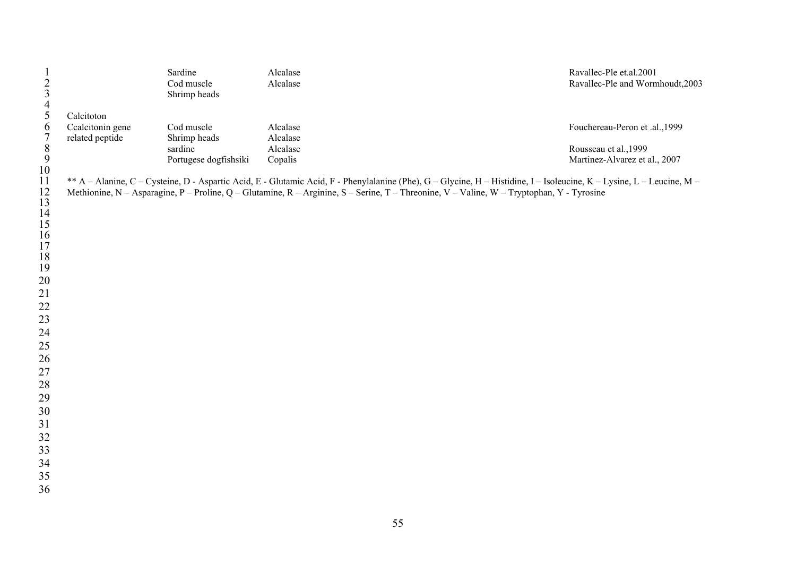| $\frac{1}{2}$<br>$\frac{3}{4}$<br>$\frac{4}{5}$ |                  | Sardine<br>Cod muscle                                                                                                                                                 | Alcalase<br>Alcalase |  | Ravallec-Ple et.al.2001<br>Ravallec-Ple and Wormhoudt, 2003 |  |
|-------------------------------------------------|------------------|-----------------------------------------------------------------------------------------------------------------------------------------------------------------------|----------------------|--|-------------------------------------------------------------|--|
|                                                 |                  | Shrimp heads                                                                                                                                                          |                      |  |                                                             |  |
|                                                 | Calcitoton       |                                                                                                                                                                       |                      |  |                                                             |  |
| 6                                               | Ccalcitonin gene | Cod muscle                                                                                                                                                            | Alcalase             |  | Fouchereau-Peron et .al., 1999                              |  |
| $\boldsymbol{7}$                                | related peptide  | Shrimp heads                                                                                                                                                          | Alcalase             |  |                                                             |  |
| $\,$ $\,$                                       |                  | sardine                                                                                                                                                               | Alcalase             |  | Rousseau et al., 1999                                       |  |
| 9                                               |                  | Portugese dogfishsiki                                                                                                                                                 | Copalis              |  | Martinez-Alvarez et al., 2007                               |  |
| 10                                              |                  |                                                                                                                                                                       |                      |  |                                                             |  |
| 11                                              |                  | ** A - Alanine, C - Cysteine, D - Aspartic Acid, E - Glutamic Acid, F - Phenylalanine (Phe), G - Glycine, H - Histidine, I - Isoleucine, K - Lysine, L - Leucine, M - |                      |  |                                                             |  |
| 12                                              |                  | Methionine, N - Asparagine, P - Proline, Q - Glutamine, R - Arginine, S - Serine, T - Threonine, V - Valine, W - Tryptophan, Y - Tyrosine                             |                      |  |                                                             |  |
| 13                                              |                  |                                                                                                                                                                       |                      |  |                                                             |  |
| 14                                              |                  |                                                                                                                                                                       |                      |  |                                                             |  |
| 15                                              |                  |                                                                                                                                                                       |                      |  |                                                             |  |
| $\frac{16}{17}$                                 |                  |                                                                                                                                                                       |                      |  |                                                             |  |
| 18                                              |                  |                                                                                                                                                                       |                      |  |                                                             |  |
| 19                                              |                  |                                                                                                                                                                       |                      |  |                                                             |  |
| 20                                              |                  |                                                                                                                                                                       |                      |  |                                                             |  |
| 21                                              |                  |                                                                                                                                                                       |                      |  |                                                             |  |
| 22                                              |                  |                                                                                                                                                                       |                      |  |                                                             |  |
| 23                                              |                  |                                                                                                                                                                       |                      |  |                                                             |  |
| 24                                              |                  |                                                                                                                                                                       |                      |  |                                                             |  |
| 25                                              |                  |                                                                                                                                                                       |                      |  |                                                             |  |
| 26                                              |                  |                                                                                                                                                                       |                      |  |                                                             |  |
| 27                                              |                  |                                                                                                                                                                       |                      |  |                                                             |  |
| 28                                              |                  |                                                                                                                                                                       |                      |  |                                                             |  |
| 29                                              |                  |                                                                                                                                                                       |                      |  |                                                             |  |
| 30                                              |                  |                                                                                                                                                                       |                      |  |                                                             |  |
| 31                                              |                  |                                                                                                                                                                       |                      |  |                                                             |  |
| 32                                              |                  |                                                                                                                                                                       |                      |  |                                                             |  |
| 33                                              |                  |                                                                                                                                                                       |                      |  |                                                             |  |
| 34                                              |                  |                                                                                                                                                                       |                      |  |                                                             |  |
| 35                                              |                  |                                                                                                                                                                       |                      |  |                                                             |  |
| 36                                              |                  |                                                                                                                                                                       |                      |  |                                                             |  |
|                                                 |                  |                                                                                                                                                                       |                      |  |                                                             |  |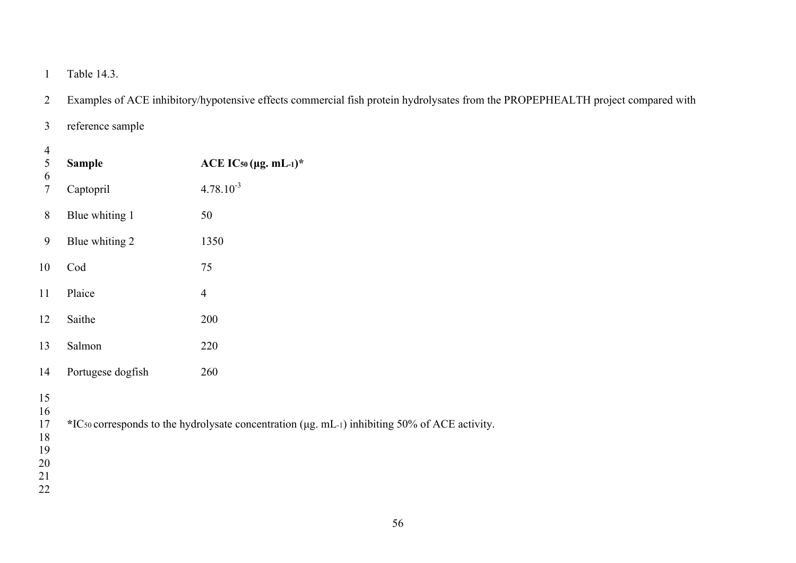1 Table 14.3.

- 2 Examples of ACE inhibitory/hypotensive effects commercial fish protein hydrolysates from the PROPEPHEALTH project compared with
- 3 reference sample

| 4              |                   |                                                                                               |  |  |
|----------------|-------------------|-----------------------------------------------------------------------------------------------|--|--|
| 5              | <b>Sample</b>     | ACE IC50 ( $\mu$ g. mL-1)*                                                                    |  |  |
| 6<br>$\tau$    | Captopril         | $4.78.10^{-3}$                                                                                |  |  |
| 8              | Blue whiting 1    | 50                                                                                            |  |  |
| 9              | Blue whiting 2    | 1350                                                                                          |  |  |
| 10             | Cod               | 75                                                                                            |  |  |
| 11             | Plaice            | $\overline{4}$                                                                                |  |  |
| 12             | Saithe            | 200                                                                                           |  |  |
| 13             | Salmon            | 220                                                                                           |  |  |
| 14             | Portugese dogfish | 260                                                                                           |  |  |
| 15<br>16<br>17 |                   | *ICso corresponds to the hydrolysate concentration (µg. mL-1) inhibiting 50% of ACE activity. |  |  |
| 1 O            |                   |                                                                                               |  |  |

- 18
- 19
- 20
- 21 22
-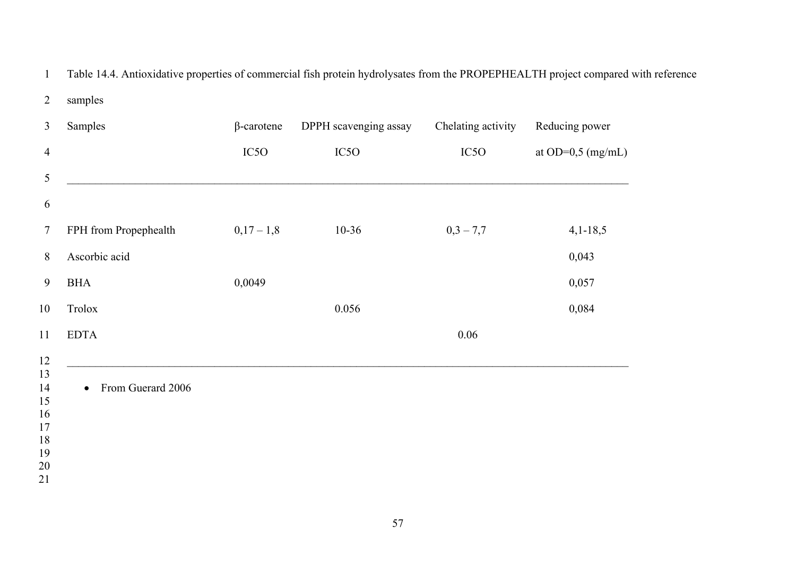1 Table 14.4. Antioxidative properties of commercial fish protein hydrolysates from the PROPEPHEALTH project compared with reference

| $\overline{3}$      | Samples                        | $\beta$ -carotene | DPPH scavenging assay | Chelating activity | Reducing power               |
|---------------------|--------------------------------|-------------------|-----------------------|--------------------|------------------------------|
| $\overline{4}$      |                                | IC <sub>5</sub> O | IC <sub>5</sub> O     | IC <sub>5</sub> O  | at OD= $0,5 \text{ (mg/mL)}$ |
| $\mathfrak{S}$      |                                |                   |                       |                    |                              |
| 6                   |                                |                   |                       |                    |                              |
| $7\phantom{.0}$     | FPH from Propephealth          | $0,17-1,8$        | $10-36$               | $0,3 - 7,7$        | $4,1-18,5$                   |
| 8                   | Ascorbic acid                  |                   |                       |                    | 0,043                        |
| 9                   | <b>BHA</b>                     | 0,0049            |                       |                    | 0,057                        |
| 10                  | Trolox                         |                   | 0.056                 |                    | 0,084                        |
| 11                  | <b>EDTA</b>                    |                   |                       | 0.06               |                              |
| 12                  |                                |                   |                       |                    |                              |
| 13<br>14            | From Guerard 2006<br>$\bullet$ |                   |                       |                    |                              |
| 15<br>16            |                                |                   |                       |                    |                              |
| 17                  |                                |                   |                       |                    |                              |
| 18                  |                                |                   |                       |                    |                              |
| 19<br>$\sim$ $\sim$ |                                |                   |                       |                    |                              |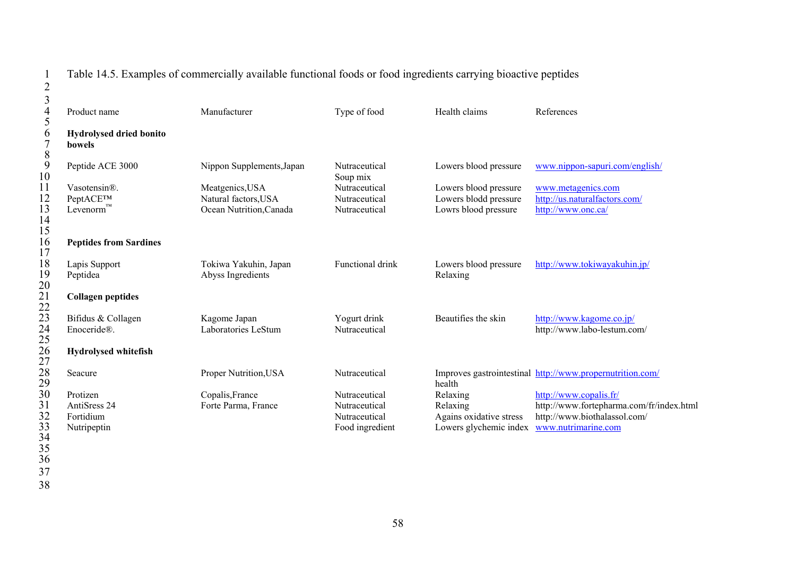# 1 Table 14.5. Examples of commercially available functional foods or food ingredients carrying bioactive peptides

| $\overline{c}$                      |                                          |                           |                           |                                            |                                                           |
|-------------------------------------|------------------------------------------|---------------------------|---------------------------|--------------------------------------------|-----------------------------------------------------------|
| $\mathfrak{Z}$<br>$\overline{4}$    | Product name                             | Manufacturer              | Type of food              | Health claims                              | References                                                |
| 5                                   |                                          |                           |                           |                                            |                                                           |
| 6<br>$\overline{7}$<br>$8\,$        | <b>Hydrolysed dried bonito</b><br>bowels |                           |                           |                                            |                                                           |
| 9<br>10                             | Peptide ACE 3000                         | Nippon Supplements, Japan | Nutraceutical<br>Soup mix | Lowers blood pressure                      | www.nippon-sapuri.com/english/                            |
| 11                                  | Vasotensin®.                             | Meatgenics, USA           | Nutraceutical             | Lowers blood pressure                      | www.metagenics.com                                        |
| $\frac{12}{13}$                     | PeptACE™                                 | Natural factors, USA      | Nutraceutical             | Lowers blodd pressure                      | http://us.naturalfactors.com/                             |
| $\frac{14}{15}$                     | $L$ evenorm <sup>™</sup>                 | Ocean Nutrition, Canada   | Nutraceutical             | Lowrs blood pressure                       | http://www.onc.ca/                                        |
| 16<br>17                            | <b>Peptides from Sardines</b>            |                           |                           |                                            |                                                           |
| 18                                  | Lapis Support                            | Tokiwa Yakuhin, Japan     | Functional drink          | Lowers blood pressure                      | http://www.tokiwayakuhin.jp/                              |
| 19<br>20                            | Peptidea                                 | Abyss Ingredients         |                           | Relaxing                                   |                                                           |
|                                     | <b>Collagen peptides</b>                 |                           |                           |                                            |                                                           |
|                                     | Bifidus & Collagen                       | Kagome Japan              | Yogurt drink              | Beautifies the skin                        | http://www.kagome.co.jp/                                  |
|                                     | Enoceride®.                              | Laboratories LeStum       | Nutraceutical             |                                            | http://www.labo-lestum.com/                               |
| 21<br>223<br>245<br>25<br>278<br>29 | <b>Hydrolysed whitefish</b>              |                           |                           |                                            |                                                           |
|                                     | Seacure                                  | Proper Nutrition, USA     | Nutraceutical             | health                                     | Improves gastrointestinal http://www.propernutrition.com/ |
|                                     | Protizen                                 | Copalis, France           | Nutraceutical             | Relaxing                                   | http://www.copalis.fr/                                    |
| 30<br>31                            | AntiSress 24                             | Forte Parma, France       | Nutraceutical             | Relaxing                                   | http://www.fortepharma.com/fr/index.html                  |
|                                     | Fortidium                                |                           | Nutraceutical             | Agains oxidative stress                    | http://www.biothalassol.com/                              |
|                                     | Nutripeptin                              |                           | Food ingredient           | Lowers glychemic index www.nutrimarine.com |                                                           |
|                                     |                                          |                           |                           |                                            |                                                           |
|                                     |                                          |                           |                           |                                            |                                                           |
| 32<br>33<br>34<br>35<br>36<br>37    |                                          |                           |                           |                                            |                                                           |
|                                     |                                          |                           |                           |                                            |                                                           |
| 38                                  |                                          |                           |                           |                                            |                                                           |

- 
- 
- 
-